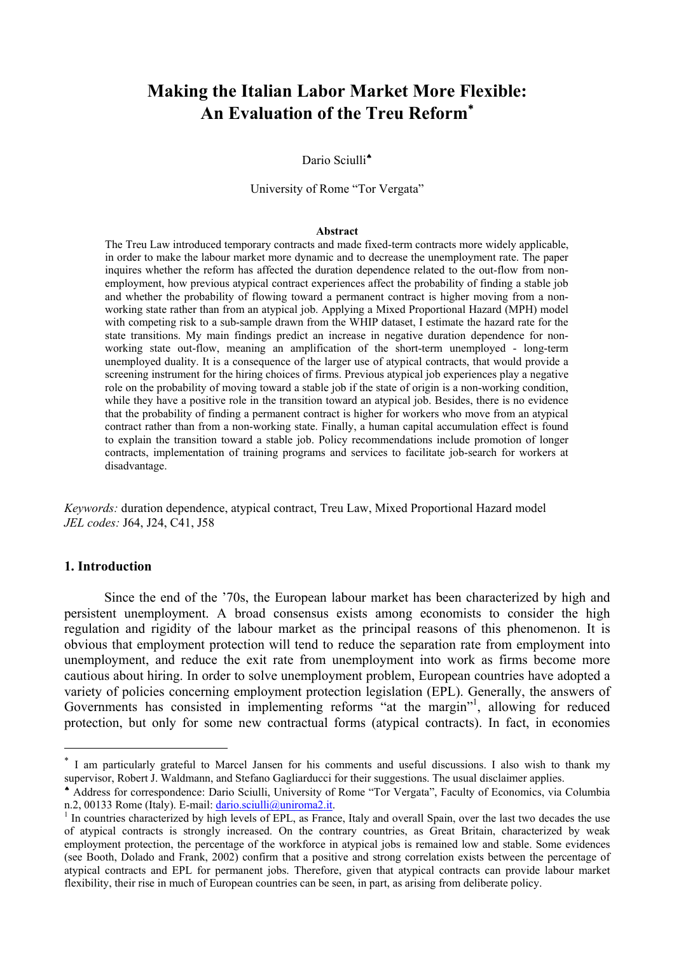## **Making the Italian Labor Market More Flexible: An Evaluation of the Treu Reform**<sup>∗</sup>

#### Dario Sciulli<sup>+</sup>

University of Rome "Tor Vergata"

#### **Abstract**

The Treu Law introduced temporary contracts and made fixed-term contracts more widely applicable, in order to make the labour market more dynamic and to decrease the unemployment rate. The paper inquires whether the reform has affected the duration dependence related to the out-flow from nonemployment, how previous atypical contract experiences affect the probability of finding a stable job and whether the probability of flowing toward a permanent contract is higher moving from a nonworking state rather than from an atypical job. Applying a Mixed Proportional Hazard (MPH) model with competing risk to a sub-sample drawn from the WHIP dataset, I estimate the hazard rate for the state transitions. My main findings predict an increase in negative duration dependence for nonworking state out-flow, meaning an amplification of the short-term unemployed - long-term unemployed duality. It is a consequence of the larger use of atypical contracts, that would provide a screening instrument for the hiring choices of firms. Previous atypical job experiences play a negative role on the probability of moving toward a stable job if the state of origin is a non-working condition, while they have a positive role in the transition toward an atypical job. Besides, there is no evidence that the probability of finding a permanent contract is higher for workers who move from an atypical contract rather than from a non-working state. Finally, a human capital accumulation effect is found to explain the transition toward a stable job. Policy recommendations include promotion of longer contracts, implementation of training programs and services to facilitate job-search for workers at disadvantage.

*Keywords:* duration dependence, atypical contract, Treu Law, Mixed Proportional Hazard model *JEL codes:* J64, J24, C41, J58

#### **1. Introduction**

 $\overline{a}$ 

 Since the end of the '70s, the European labour market has been characterized by high and persistent unemployment. A broad consensus exists among economists to consider the high regulation and rigidity of the labour market as the principal reasons of this phenomenon. It is obvious that employment protection will tend to reduce the separation rate from employment into unemployment, and reduce the exit rate from unemployment into work as firms become more cautious about hiring. In order to solve unemployment problem, European countries have adopted a variety of policies concerning employment protection legislation (EPL). Generally, the answers of Governments has consisted in implementing reforms "at the margin"<sup>1</sup>, allowing for reduced protection, but only for some new contractual forms (atypical contracts). In fact, in economies

<sup>∗</sup> I am particularly grateful to Marcel Jansen for his comments and useful discussions. I also wish to thank my supervisor, Robert J. Waldmann, and Stefano Gagliarducci for their suggestions. The usual disclaimer applies.

<sup>♠</sup> Address for correspondence: Dario Sciulli, University of Rome "Tor Vergata", Faculty of Economics, via Columbia n.2, 00133 Rome (Italy). E-mail: dario.sciulli@uniroma2.it.

 $<sup>1</sup>$  In countries characterized by high levels of EPL, as France. Italy and overall Spain, over the last two decades the use</sup> of atypical contracts is strongly increased. On the contrary countries, as Great Britain, characterized by weak employment protection, the percentage of the workforce in atypical jobs is remained low and stable. Some evidences (see Booth, Dolado and Frank, 2002) confirm that a positive and strong correlation exists between the percentage of atypical contracts and EPL for permanent jobs. Therefore, given that atypical contracts can provide labour market flexibility, their rise in much of European countries can be seen, in part, as arising from deliberate policy.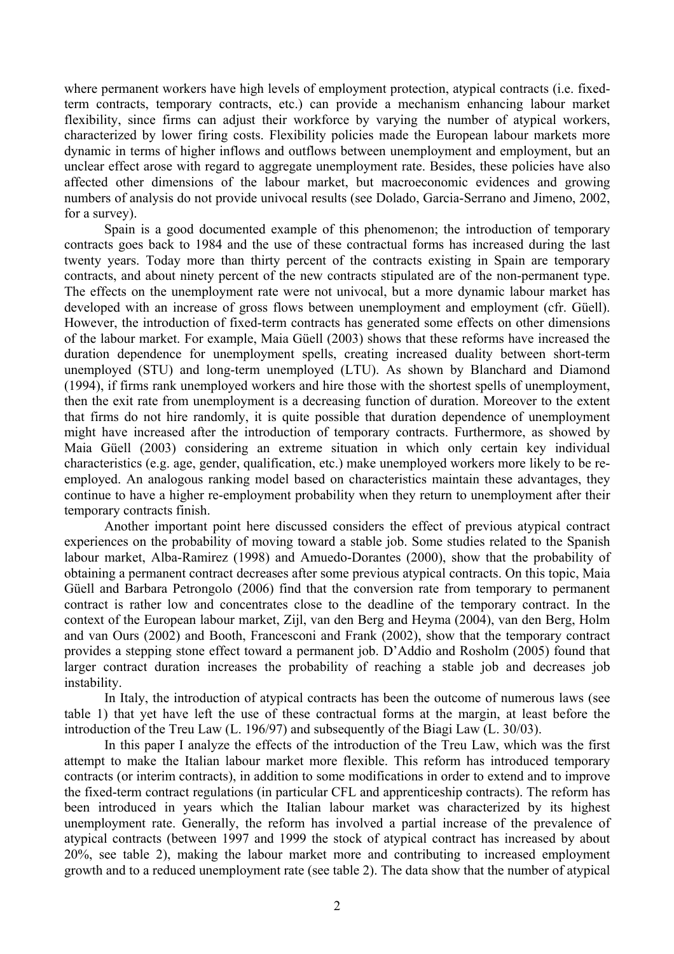where permanent workers have high levels of employment protection, atypical contracts (i.e. fixedterm contracts, temporary contracts, etc.) can provide a mechanism enhancing labour market flexibility, since firms can adjust their workforce by varying the number of atypical workers, characterized by lower firing costs. Flexibility policies made the European labour markets more dynamic in terms of higher inflows and outflows between unemployment and employment, but an unclear effect arose with regard to aggregate unemployment rate. Besides, these policies have also affected other dimensions of the labour market, but macroeconomic evidences and growing numbers of analysis do not provide univocal results (see Dolado, Garcia-Serrano and Jimeno, 2002, for a survey).

 Spain is a good documented example of this phenomenon; the introduction of temporary contracts goes back to 1984 and the use of these contractual forms has increased during the last twenty years. Today more than thirty percent of the contracts existing in Spain are temporary contracts, and about ninety percent of the new contracts stipulated are of the non-permanent type. The effects on the unemployment rate were not univocal, but a more dynamic labour market has developed with an increase of gross flows between unemployment and employment (cfr. Güell). However, the introduction of fixed-term contracts has generated some effects on other dimensions of the labour market. For example, Maia Güell (2003) shows that these reforms have increased the duration dependence for unemployment spells, creating increased duality between short-term unemployed (STU) and long-term unemployed (LTU). As shown by Blanchard and Diamond (1994), if firms rank unemployed workers and hire those with the shortest spells of unemployment, then the exit rate from unemployment is a decreasing function of duration. Moreover to the extent that firms do not hire randomly, it is quite possible that duration dependence of unemployment might have increased after the introduction of temporary contracts. Furthermore, as showed by Maia Güell (2003) considering an extreme situation in which only certain key individual characteristics (e.g. age, gender, qualification, etc.) make unemployed workers more likely to be reemployed. An analogous ranking model based on characteristics maintain these advantages, they continue to have a higher re-employment probability when they return to unemployment after their temporary contracts finish.

 Another important point here discussed considers the effect of previous atypical contract experiences on the probability of moving toward a stable job. Some studies related to the Spanish labour market, Alba-Ramirez (1998) and Amuedo-Dorantes (2000), show that the probability of obtaining a permanent contract decreases after some previous atypical contracts. On this topic, Maia Güell and Barbara Petrongolo (2006) find that the conversion rate from temporary to permanent contract is rather low and concentrates close to the deadline of the temporary contract. In the context of the European labour market, Zijl, van den Berg and Heyma (2004), van den Berg, Holm and van Ours (2002) and Booth, Francesconi and Frank (2002), show that the temporary contract provides a stepping stone effect toward a permanent job. D'Addio and Rosholm (2005) found that larger contract duration increases the probability of reaching a stable job and decreases job instability.

 In Italy, the introduction of atypical contracts has been the outcome of numerous laws (see table 1) that yet have left the use of these contractual forms at the margin, at least before the introduction of the Treu Law (L. 196/97) and subsequently of the Biagi Law (L. 30/03).

 In this paper I analyze the effects of the introduction of the Treu Law, which was the first attempt to make the Italian labour market more flexible. This reform has introduced temporary contracts (or interim contracts), in addition to some modifications in order to extend and to improve the fixed-term contract regulations (in particular CFL and apprenticeship contracts). The reform has been introduced in years which the Italian labour market was characterized by its highest unemployment rate. Generally, the reform has involved a partial increase of the prevalence of atypical contracts (between 1997 and 1999 the stock of atypical contract has increased by about 20%, see table 2), making the labour market more and contributing to increased employment growth and to a reduced unemployment rate (see table 2). The data show that the number of atypical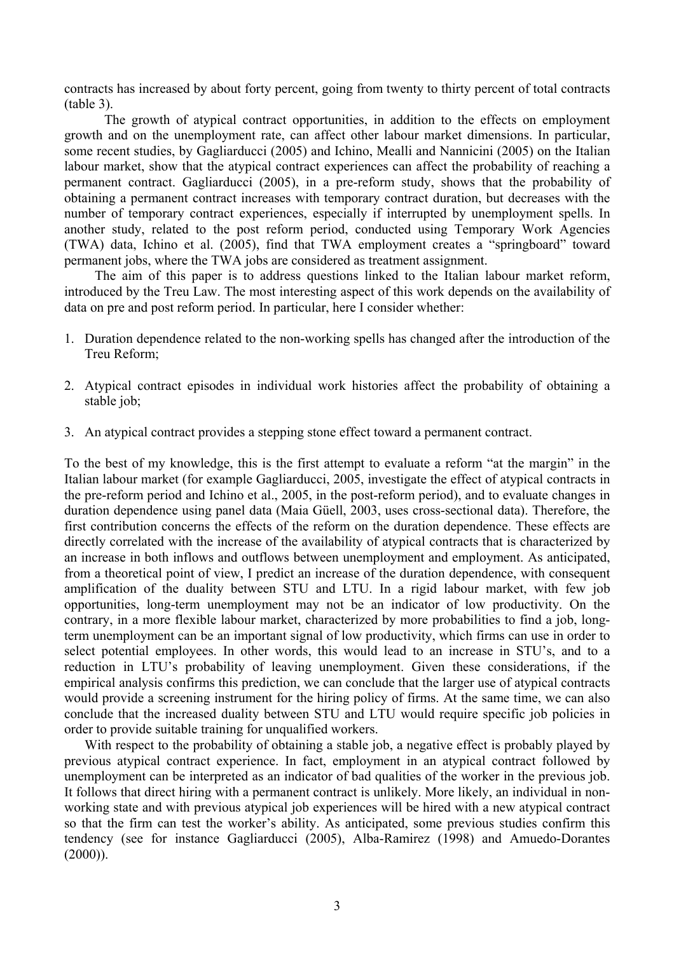contracts has increased by about forty percent, going from twenty to thirty percent of total contracts (table 3).

 The growth of atypical contract opportunities, in addition to the effects on employment growth and on the unemployment rate, can affect other labour market dimensions. In particular, some recent studies, by Gagliarducci (2005) and Ichino, Mealli and Nannicini (2005) on the Italian labour market, show that the atypical contract experiences can affect the probability of reaching a permanent contract. Gagliarducci (2005), in a pre-reform study, shows that the probability of obtaining a permanent contract increases with temporary contract duration, but decreases with the number of temporary contract experiences, especially if interrupted by unemployment spells. In another study, related to the post reform period, conducted using Temporary Work Agencies (TWA) data, Ichino et al. (2005), find that TWA employment creates a "springboard" toward permanent jobs, where the TWA jobs are considered as treatment assignment.

The aim of this paper is to address questions linked to the Italian labour market reform, introduced by the Treu Law. The most interesting aspect of this work depends on the availability of data on pre and post reform period. In particular, here I consider whether:

- 1. Duration dependence related to the non-working spells has changed after the introduction of the Treu Reform;
- 2. Atypical contract episodes in individual work histories affect the probability of obtaining a stable job;
- 3. An atypical contract provides a stepping stone effect toward a permanent contract.

To the best of my knowledge, this is the first attempt to evaluate a reform "at the margin" in the Italian labour market (for example Gagliarducci, 2005, investigate the effect of atypical contracts in the pre-reform period and Ichino et al., 2005, in the post-reform period), and to evaluate changes in duration dependence using panel data (Maia Güell, 2003, uses cross-sectional data). Therefore, the first contribution concerns the effects of the reform on the duration dependence. These effects are directly correlated with the increase of the availability of atypical contracts that is characterized by an increase in both inflows and outflows between unemployment and employment. As anticipated, from a theoretical point of view, I predict an increase of the duration dependence, with consequent amplification of the duality between STU and LTU. In a rigid labour market, with few job opportunities, long-term unemployment may not be an indicator of low productivity. On the contrary, in a more flexible labour market, characterized by more probabilities to find a job, longterm unemployment can be an important signal of low productivity, which firms can use in order to select potential employees. In other words, this would lead to an increase in STU's, and to a reduction in LTU's probability of leaving unemployment. Given these considerations, if the empirical analysis confirms this prediction, we can conclude that the larger use of atypical contracts would provide a screening instrument for the hiring policy of firms. At the same time, we can also conclude that the increased duality between STU and LTU would require specific job policies in order to provide suitable training for unqualified workers.

With respect to the probability of obtaining a stable job, a negative effect is probably played by previous atypical contract experience. In fact, employment in an atypical contract followed by unemployment can be interpreted as an indicator of bad qualities of the worker in the previous job. It follows that direct hiring with a permanent contract is unlikely. More likely, an individual in nonworking state and with previous atypical job experiences will be hired with a new atypical contract so that the firm can test the worker's ability. As anticipated, some previous studies confirm this tendency (see for instance Gagliarducci (2005), Alba-Ramirez (1998) and Amuedo-Dorantes  $(2000)$ ).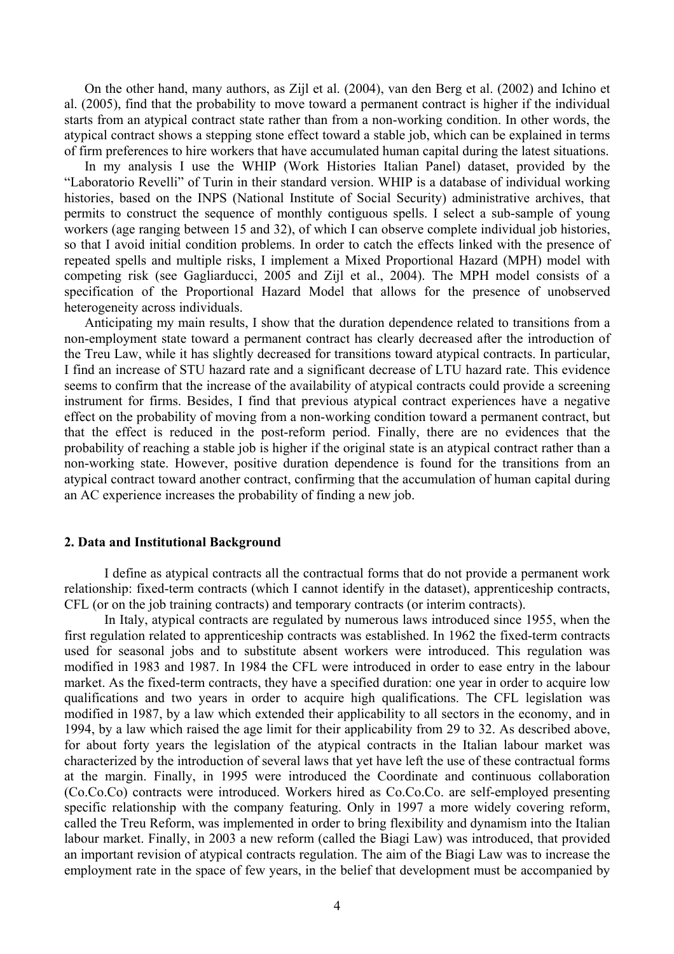On the other hand, many authors, as Zijl et al. (2004), van den Berg et al. (2002) and Ichino et al. (2005), find that the probability to move toward a permanent contract is higher if the individual starts from an atypical contract state rather than from a non-working condition. In other words, the atypical contract shows a stepping stone effect toward a stable job, which can be explained in terms of firm preferences to hire workers that have accumulated human capital during the latest situations.

In my analysis I use the WHIP (Work Histories Italian Panel) dataset, provided by the "Laboratorio Revelli" of Turin in their standard version. WHIP is a database of individual working histories, based on the INPS (National Institute of Social Security) administrative archives, that permits to construct the sequence of monthly contiguous spells. I select a sub-sample of young workers (age ranging between 15 and 32), of which I can observe complete individual job histories, so that I avoid initial condition problems. In order to catch the effects linked with the presence of repeated spells and multiple risks, I implement a Mixed Proportional Hazard (MPH) model with competing risk (see Gagliarducci, 2005 and Zijl et al., 2004). The MPH model consists of a specification of the Proportional Hazard Model that allows for the presence of unobserved heterogeneity across individuals.

Anticipating my main results, I show that the duration dependence related to transitions from a non-employment state toward a permanent contract has clearly decreased after the introduction of the Treu Law, while it has slightly decreased for transitions toward atypical contracts. In particular, I find an increase of STU hazard rate and a significant decrease of LTU hazard rate. This evidence seems to confirm that the increase of the availability of atypical contracts could provide a screening instrument for firms. Besides, I find that previous atypical contract experiences have a negative effect on the probability of moving from a non-working condition toward a permanent contract, but that the effect is reduced in the post-reform period. Finally, there are no evidences that the probability of reaching a stable job is higher if the original state is an atypical contract rather than a non-working state. However, positive duration dependence is found for the transitions from an atypical contract toward another contract, confirming that the accumulation of human capital during an AC experience increases the probability of finding a new job.

#### **2. Data and Institutional Background**

 I define as atypical contracts all the contractual forms that do not provide a permanent work relationship: fixed-term contracts (which I cannot identify in the dataset), apprenticeship contracts, CFL (or on the job training contracts) and temporary contracts (or interim contracts).

 In Italy, atypical contracts are regulated by numerous laws introduced since 1955, when the first regulation related to apprenticeship contracts was established. In 1962 the fixed-term contracts used for seasonal jobs and to substitute absent workers were introduced. This regulation was modified in 1983 and 1987. In 1984 the CFL were introduced in order to ease entry in the labour market. As the fixed-term contracts, they have a specified duration: one year in order to acquire low qualifications and two years in order to acquire high qualifications. The CFL legislation was modified in 1987, by a law which extended their applicability to all sectors in the economy, and in 1994, by a law which raised the age limit for their applicability from 29 to 32. As described above, for about forty years the legislation of the atypical contracts in the Italian labour market was characterized by the introduction of several laws that yet have left the use of these contractual forms at the margin. Finally, in 1995 were introduced the Coordinate and continuous collaboration (Co.Co.Co) contracts were introduced. Workers hired as Co.Co.Co. are self-employed presenting specific relationship with the company featuring. Only in 1997 a more widely covering reform, called the Treu Reform, was implemented in order to bring flexibility and dynamism into the Italian labour market. Finally, in 2003 a new reform (called the Biagi Law) was introduced, that provided an important revision of atypical contracts regulation. The aim of the Biagi Law was to increase the employment rate in the space of few years, in the belief that development must be accompanied by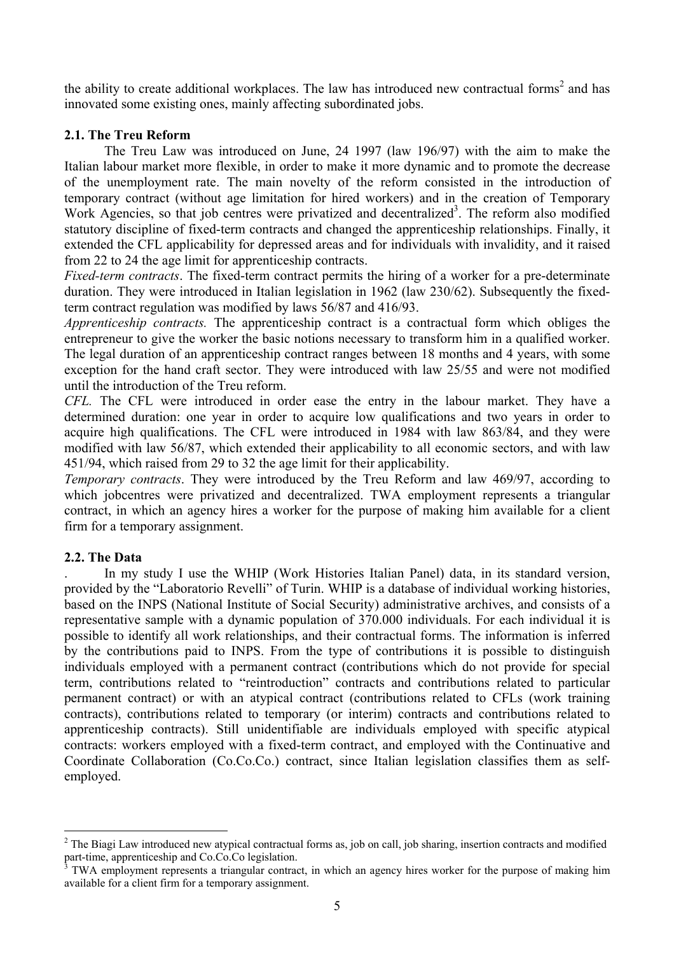the ability to create additional workplaces. The law has introduced new contractual forms<sup>2</sup> and has innovated some existing ones, mainly affecting subordinated jobs.

## **2.1. The Treu Reform**

 The Treu Law was introduced on June, 24 1997 (law 196/97) with the aim to make the Italian labour market more flexible, in order to make it more dynamic and to promote the decrease of the unemployment rate. The main novelty of the reform consisted in the introduction of temporary contract (without age limitation for hired workers) and in the creation of Temporary Work Agencies, so that job centres were privatized and decentralized<sup>3</sup>. The reform also modified statutory discipline of fixed-term contracts and changed the apprenticeship relationships. Finally, it extended the CFL applicability for depressed areas and for individuals with invalidity, and it raised from 22 to 24 the age limit for apprenticeship contracts.

*Fixed-term contracts*. The fixed-term contract permits the hiring of a worker for a pre-determinate duration. They were introduced in Italian legislation in 1962 (law 230/62). Subsequently the fixedterm contract regulation was modified by laws 56/87 and 416/93.

*Apprenticeship contracts.* The apprenticeship contract is a contractual form which obliges the entrepreneur to give the worker the basic notions necessary to transform him in a qualified worker. The legal duration of an apprenticeship contract ranges between 18 months and 4 years, with some exception for the hand craft sector. They were introduced with law 25/55 and were not modified until the introduction of the Treu reform.

*CFL.* The CFL were introduced in order ease the entry in the labour market. They have a determined duration: one year in order to acquire low qualifications and two years in order to acquire high qualifications. The CFL were introduced in 1984 with law 863/84, and they were modified with law 56/87, which extended their applicability to all economic sectors, and with law 451/94, which raised from 29 to 32 the age limit for their applicability.

*Temporary contracts*. They were introduced by the Treu Reform and law 469/97, according to which jobcentres were privatized and decentralized. TWA employment represents a triangular contract, in which an agency hires a worker for the purpose of making him available for a client firm for a temporary assignment.

## **2.2. The Data**

. In my study I use the WHIP (Work Histories Italian Panel) data, in its standard version, provided by the "Laboratorio Revelli" of Turin. WHIP is a database of individual working histories, based on the INPS (National Institute of Social Security) administrative archives, and consists of a representative sample with a dynamic population of 370.000 individuals. For each individual it is possible to identify all work relationships, and their contractual forms. The information is inferred by the contributions paid to INPS. From the type of contributions it is possible to distinguish individuals employed with a permanent contract (contributions which do not provide for special term, contributions related to "reintroduction" contracts and contributions related to particular permanent contract) or with an atypical contract (contributions related to CFLs (work training contracts), contributions related to temporary (or interim) contracts and contributions related to apprenticeship contracts). Still unidentifiable are individuals employed with specific atypical contracts: workers employed with a fixed-term contract, and employed with the Continuative and Coordinate Collaboration (Co.Co.Co.) contract, since Italian legislation classifies them as selfemployed.

 $\overline{a}$  $2^2$  The Biagi Law introduced new atypical contractual forms as, job on call, job sharing, insertion contracts and modified part-time, apprenticeship and Co.Co.Co legislation.

TWA employment represents a triangular contract, in which an agency hires worker for the purpose of making him available for a client firm for a temporary assignment.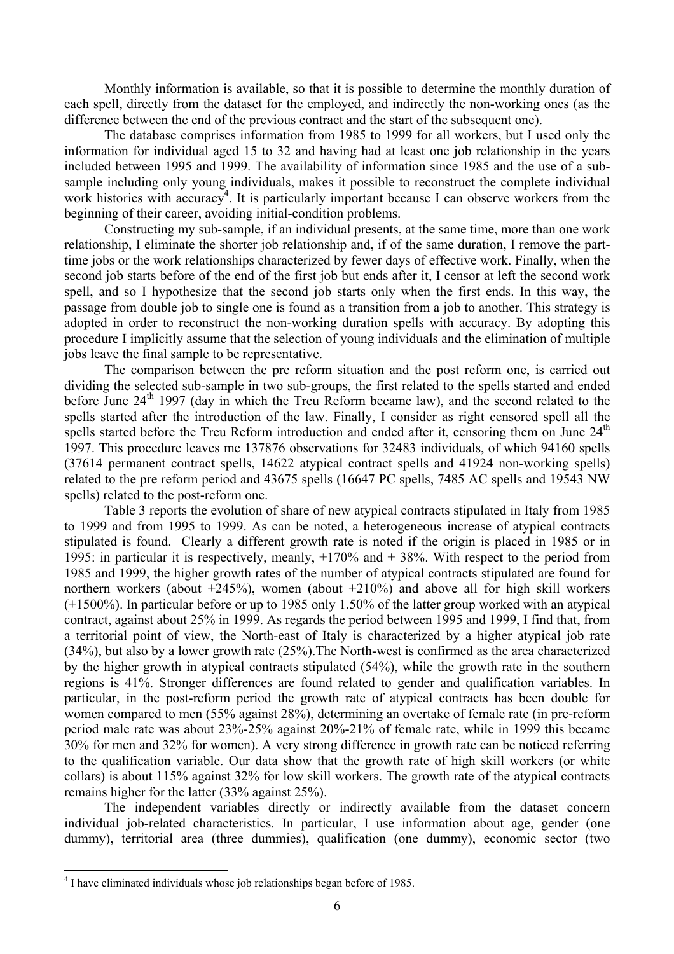Monthly information is available, so that it is possible to determine the monthly duration of each spell, directly from the dataset for the employed, and indirectly the non-working ones (as the difference between the end of the previous contract and the start of the subsequent one).

 The database comprises information from 1985 to 1999 for all workers, but I used only the information for individual aged 15 to 32 and having had at least one job relationship in the years included between 1995 and 1999. The availability of information since 1985 and the use of a subsample including only young individuals, makes it possible to reconstruct the complete individual work histories with accuracy<sup>4</sup>. It is particularly important because I can observe workers from the beginning of their career, avoiding initial-condition problems.

Constructing my sub-sample, if an individual presents, at the same time, more than one work relationship, I eliminate the shorter job relationship and, if of the same duration, I remove the parttime jobs or the work relationships characterized by fewer days of effective work. Finally, when the second job starts before of the end of the first job but ends after it, I censor at left the second work spell, and so I hypothesize that the second job starts only when the first ends. In this way, the passage from double job to single one is found as a transition from a job to another. This strategy is adopted in order to reconstruct the non-working duration spells with accuracy. By adopting this procedure I implicitly assume that the selection of young individuals and the elimination of multiple jobs leave the final sample to be representative.

The comparison between the pre reform situation and the post reform one, is carried out dividing the selected sub-sample in two sub-groups, the first related to the spells started and ended before June  $24<sup>th</sup>$  1997 (day in which the Treu Reform became law), and the second related to the spells started after the introduction of the law. Finally, I consider as right censored spell all the spells started before the Treu Reform introduction and ended after it, censoring them on June  $24<sup>th</sup>$ 1997. This procedure leaves me 137876 observations for 32483 individuals, of which 94160 spells (37614 permanent contract spells, 14622 atypical contract spells and 41924 non-working spells) related to the pre reform period and 43675 spells (16647 PC spells, 7485 AC spells and 19543 NW spells) related to the post-reform one.

Table 3 reports the evolution of share of new atypical contracts stipulated in Italy from 1985 to 1999 and from 1995 to 1999. As can be noted, a heterogeneous increase of atypical contracts stipulated is found. Clearly a different growth rate is noted if the origin is placed in 1985 or in 1995: in particular it is respectively, meanly, +170% and + 38%. With respect to the period from 1985 and 1999, the higher growth rates of the number of atypical contracts stipulated are found for northern workers (about  $+245\%$ ), women (about  $+210\%$ ) and above all for high skill workers (+1500%). In particular before or up to 1985 only 1.50% of the latter group worked with an atypical contract, against about 25% in 1999. As regards the period between 1995 and 1999, I find that, from a territorial point of view, the North-east of Italy is characterized by a higher atypical job rate (34%), but also by a lower growth rate (25%).The North-west is confirmed as the area characterized by the higher growth in atypical contracts stipulated (54%), while the growth rate in the southern regions is 41%. Stronger differences are found related to gender and qualification variables. In particular, in the post-reform period the growth rate of atypical contracts has been double for women compared to men (55% against 28%), determining an overtake of female rate (in pre-reform period male rate was about 23%-25% against 20%-21% of female rate, while in 1999 this became 30% for men and 32% for women). A very strong difference in growth rate can be noticed referring to the qualification variable. Our data show that the growth rate of high skill workers (or white collars) is about 115% against 32% for low skill workers. The growth rate of the atypical contracts remains higher for the latter (33% against 25%).

The independent variables directly or indirectly available from the dataset concern individual job-related characteristics. In particular, I use information about age, gender (one dummy), territorial area (three dummies), qualification (one dummy), economic sector (two

 $\overline{a}$ 

<sup>&</sup>lt;sup>4</sup> I have eliminated individuals whose job relationships began before of 1985.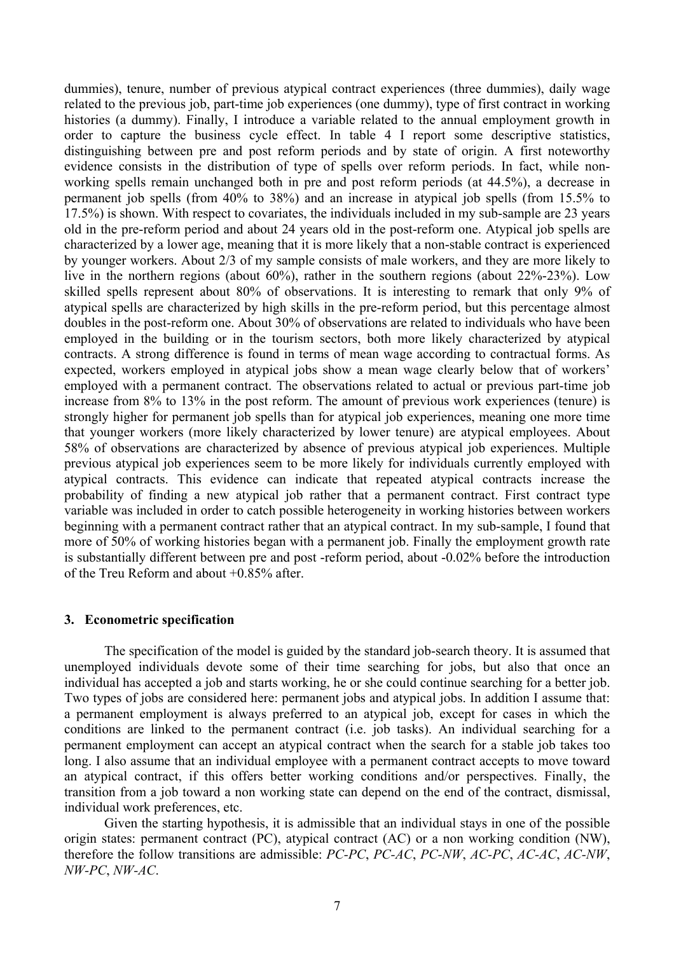dummies), tenure, number of previous atypical contract experiences (three dummies), daily wage related to the previous job, part-time job experiences (one dummy), type of first contract in working histories (a dummy). Finally, I introduce a variable related to the annual employment growth in order to capture the business cycle effect. In table 4 I report some descriptive statistics, distinguishing between pre and post reform periods and by state of origin. A first noteworthy evidence consists in the distribution of type of spells over reform periods. In fact, while nonworking spells remain unchanged both in pre and post reform periods (at 44.5%), a decrease in permanent job spells (from 40% to 38%) and an increase in atypical job spells (from 15.5% to 17.5%) is shown. With respect to covariates, the individuals included in my sub-sample are 23 years old in the pre-reform period and about 24 years old in the post-reform one. Atypical job spells are characterized by a lower age, meaning that it is more likely that a non-stable contract is experienced by younger workers. About 2/3 of my sample consists of male workers, and they are more likely to live in the northern regions (about 60%), rather in the southern regions (about 22%-23%). Low skilled spells represent about 80% of observations. It is interesting to remark that only 9% of atypical spells are characterized by high skills in the pre-reform period, but this percentage almost doubles in the post-reform one. About 30% of observations are related to individuals who have been employed in the building or in the tourism sectors, both more likely characterized by atypical contracts. A strong difference is found in terms of mean wage according to contractual forms. As expected, workers employed in atypical jobs show a mean wage clearly below that of workers' employed with a permanent contract. The observations related to actual or previous part-time job increase from 8% to 13% in the post reform. The amount of previous work experiences (tenure) is strongly higher for permanent job spells than for atypical job experiences, meaning one more time that younger workers (more likely characterized by lower tenure) are atypical employees. About 58% of observations are characterized by absence of previous atypical job experiences. Multiple previous atypical job experiences seem to be more likely for individuals currently employed with atypical contracts. This evidence can indicate that repeated atypical contracts increase the probability of finding a new atypical job rather that a permanent contract. First contract type variable was included in order to catch possible heterogeneity in working histories between workers beginning with a permanent contract rather that an atypical contract. In my sub-sample, I found that more of 50% of working histories began with a permanent job. Finally the employment growth rate is substantially different between pre and post -reform period, about -0.02% before the introduction of the Treu Reform and about +0.85% after.

#### **3. Econometric specification**

 The specification of the model is guided by the standard job-search theory. It is assumed that unemployed individuals devote some of their time searching for jobs, but also that once an individual has accepted a job and starts working, he or she could continue searching for a better job. Two types of jobs are considered here: permanent jobs and atypical jobs. In addition I assume that: a permanent employment is always preferred to an atypical job, except for cases in which the conditions are linked to the permanent contract (i.e. job tasks). An individual searching for a permanent employment can accept an atypical contract when the search for a stable job takes too long. I also assume that an individual employee with a permanent contract accepts to move toward an atypical contract, if this offers better working conditions and/or perspectives. Finally, the transition from a job toward a non working state can depend on the end of the contract, dismissal, individual work preferences, etc.

 Given the starting hypothesis, it is admissible that an individual stays in one of the possible origin states: permanent contract (PC), atypical contract (AC) or a non working condition (NW), therefore the follow transitions are admissible: *PC-PC*, *PC-AC*, *PC-NW*, *AC-PC*, *AC-AC*, *AC-NW*, *NW-PC*, *NW-AC*.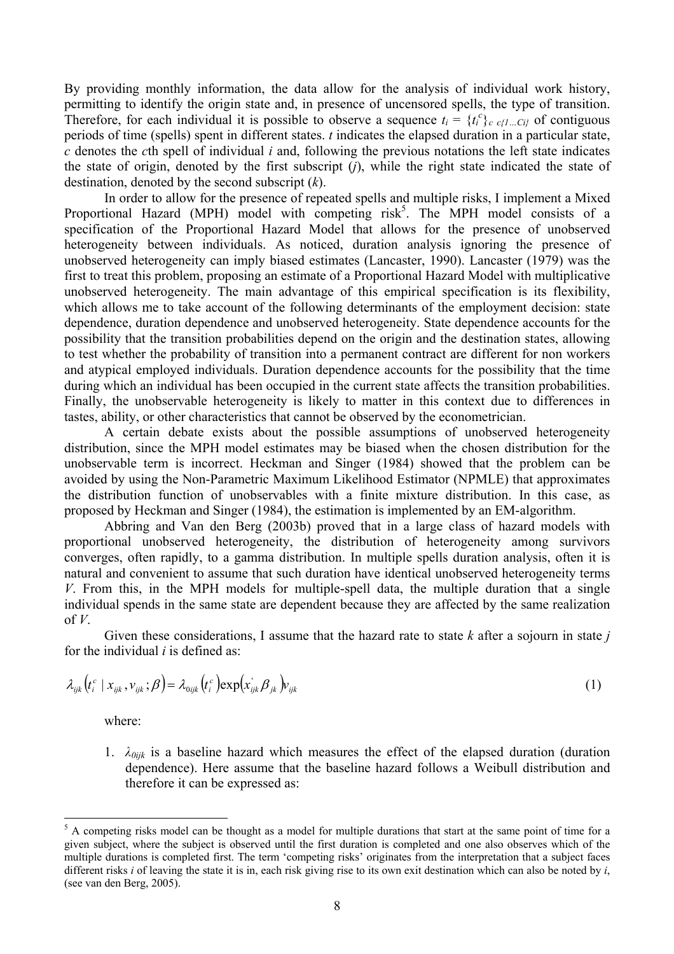By providing monthly information, the data allow for the analysis of individual work history, permitting to identify the origin state and, in presence of uncensored spells, the type of transition. Therefore, for each individual it is possible to observe a sequence  $t_i = \{t_i^c\}_{c \in \{1...C\}}$  of contiguous periods of time (spells) spent in different states. *t* indicates the elapsed duration in a particular state, *c* denotes the *c*th spell of individual *i* and, following the previous notations the left state indicates the state of origin, denoted by the first subscript (*j*), while the right state indicated the state of destination, denoted by the second subscript (*k*).

In order to allow for the presence of repeated spells and multiple risks, I implement a Mixed Proportional Hazard (MPH) model with competing  $risk^5$ . The MPH model consists of a specification of the Proportional Hazard Model that allows for the presence of unobserved heterogeneity between individuals. As noticed, duration analysis ignoring the presence of unobserved heterogeneity can imply biased estimates (Lancaster, 1990). Lancaster (1979) was the first to treat this problem, proposing an estimate of a Proportional Hazard Model with multiplicative unobserved heterogeneity. The main advantage of this empirical specification is its flexibility, which allows me to take account of the following determinants of the employment decision: state dependence, duration dependence and unobserved heterogeneity. State dependence accounts for the possibility that the transition probabilities depend on the origin and the destination states, allowing to test whether the probability of transition into a permanent contract are different for non workers and atypical employed individuals. Duration dependence accounts for the possibility that the time during which an individual has been occupied in the current state affects the transition probabilities. Finally, the unobservable heterogeneity is likely to matter in this context due to differences in tastes, ability, or other characteristics that cannot be observed by the econometrician.

A certain debate exists about the possible assumptions of unobserved heterogeneity distribution, since the MPH model estimates may be biased when the chosen distribution for the unobservable term is incorrect. Heckman and Singer (1984) showed that the problem can be avoided by using the Non-Parametric Maximum Likelihood Estimator (NPMLE) that approximates the distribution function of unobservables with a finite mixture distribution. In this case, as proposed by Heckman and Singer (1984), the estimation is implemented by an EM-algorithm.

Abbring and Van den Berg (2003b) proved that in a large class of hazard models with proportional unobserved heterogeneity, the distribution of heterogeneity among survivors converges, often rapidly, to a gamma distribution. In multiple spells duration analysis, often it is natural and convenient to assume that such duration have identical unobserved heterogeneity terms *V*. From this, in the MPH models for multiple-spell data, the multiple duration that a single individual spends in the same state are dependent because they are affected by the same realization of  $V$ .

Given these considerations, I assume that the hazard rate to state *k* after a sojourn in state *j* for the individual *i* is defined as:

$$
\lambda_{ijk}\left(t_i^c \mid x_{ijk}, v_{ijk}; \beta\right) = \lambda_{0ijk}\left(t_i^c\right) \exp\left(x_{ijk}^c \beta_{jk}\right) v_{ijk}
$$
\n(1)

where:

 $\overline{a}$ 

1.  $\lambda_{0ijk}$  is a baseline hazard which measures the effect of the elapsed duration (duration dependence). Here assume that the baseline hazard follows a Weibull distribution and therefore it can be expressed as:

 $<sup>5</sup>$  A competing risks model can be thought as a model for multiple durations that start at the same point of time for a</sup> given subject, where the subject is observed until the first duration is completed and one also observes which of the multiple durations is completed first. The term 'competing risks' originates from the interpretation that a subject faces different risks *i* of leaving the state it is in, each risk giving rise to its own exit destination which can also be noted by *i*, (see van den Berg, 2005).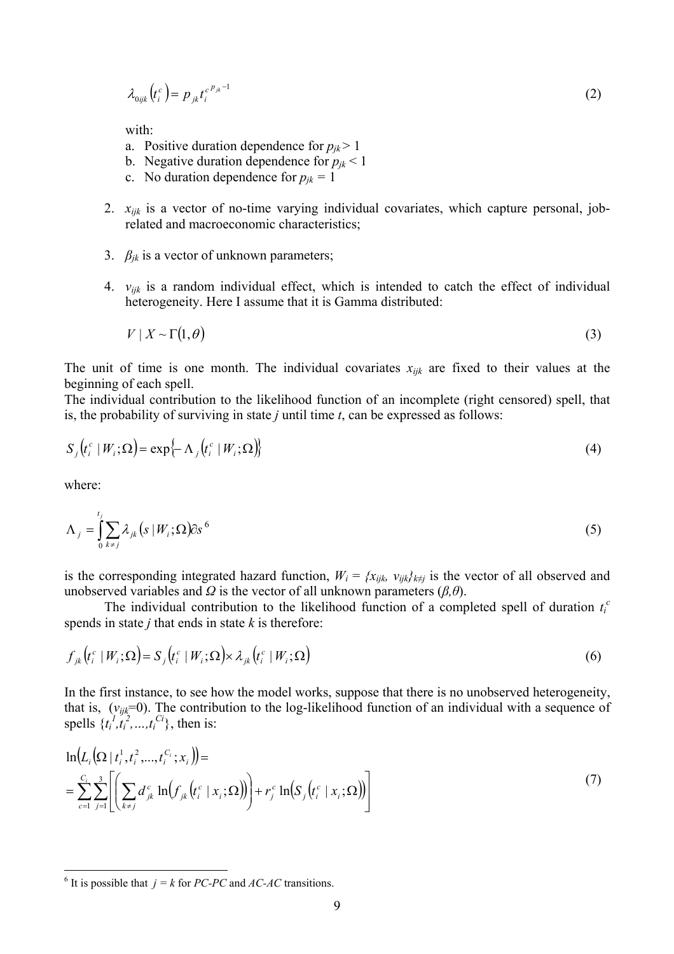$$
\lambda_{0ijk}\left(t_i^c\right) = p_{jk}t_i^{c^pjk^{-1}}\tag{2}
$$

with:

- a. Positive duration dependence for  $p_{jk}$  > 1
- b. Negative duration dependence for  $p_{jk}$  < 1
- c. No duration dependence for  $p_{jk} = 1$
- 2. *xijk* is a vector of no-time varying individual covariates, which capture personal, jobrelated and macroeconomic characteristics;
- 3. *βjk* is a vector of unknown parameters;
- 4. *vijk* is a random individual effect, which is intended to catch the effect of individual heterogeneity. Here I assume that it is Gamma distributed:

$$
V \mid X \sim \Gamma(1, \theta) \tag{3}
$$

The unit of time is one month. The individual covariates  $x_{ijk}$  are fixed to their values at the beginning of each spell.

The individual contribution to the likelihood function of an incomplete (right censored) spell, that is, the probability of surviving in state *j* until time *t*, can be expressed as follows:

$$
S_j(t_i^c \mid W_i; \Omega) = \exp\{-\Lambda_j(t_i^c \mid W_i; \Omega)\}\tag{4}
$$

where:

 $\overline{a}$ 

$$
\Lambda_j = \int_0^{t_j} \sum_{k \neq j} \lambda_{jk} \left( s \mid W_i; \Omega \right) \partial s^6 \tag{5}
$$

is the corresponding integrated hazard function,  $W_i = \{x_{ijk}, v_{ijk}\}_{k\neq j}$  is the vector of all observed and unobserved variables and  $\Omega$  is the vector of all unknown parameters ( $\beta$ , $\theta$ ).

The individual contribution to the likelihood function of a completed spell of duration  $t_i^c$ spends in state *j* that ends in state *k* is therefore:

$$
f_{jk}\left(t_i^c \mid W_i; \Omega\right) = S_j\left(t_i^c \mid W_i; \Omega\right) \times \lambda_{jk}\left(t_i^c \mid W_i; \Omega\right)
$$
\n
$$
\tag{6}
$$

In the first instance, to see how the model works, suppose that there is no unobserved heterogeneity, that is, (*vijk*=0). The contribution to the log-likelihood function of an individual with a sequence of spells  $\{t_i^1, t_i^2, ..., t_i^C\}$ , then is:

$$
\ln(L_i(\Omega \mid t_i^1, t_i^2, ..., t_i^{C_i}; x_i)) =
$$
\n
$$
= \sum_{c=1}^{C_i} \sum_{j=1}^{3} \left[ \left( \sum_{k \neq j} d_{jk}^c \ln(f_{jk}(t_i^c \mid x_i; \Omega)) \right) + r_j^c \ln(S_j(t_i^c \mid x_i; \Omega)) \right]
$$
\n(7)

<sup>&</sup>lt;sup>6</sup> It is possible that  $j = k$  for *PC-PC* and *AC-AC* transitions.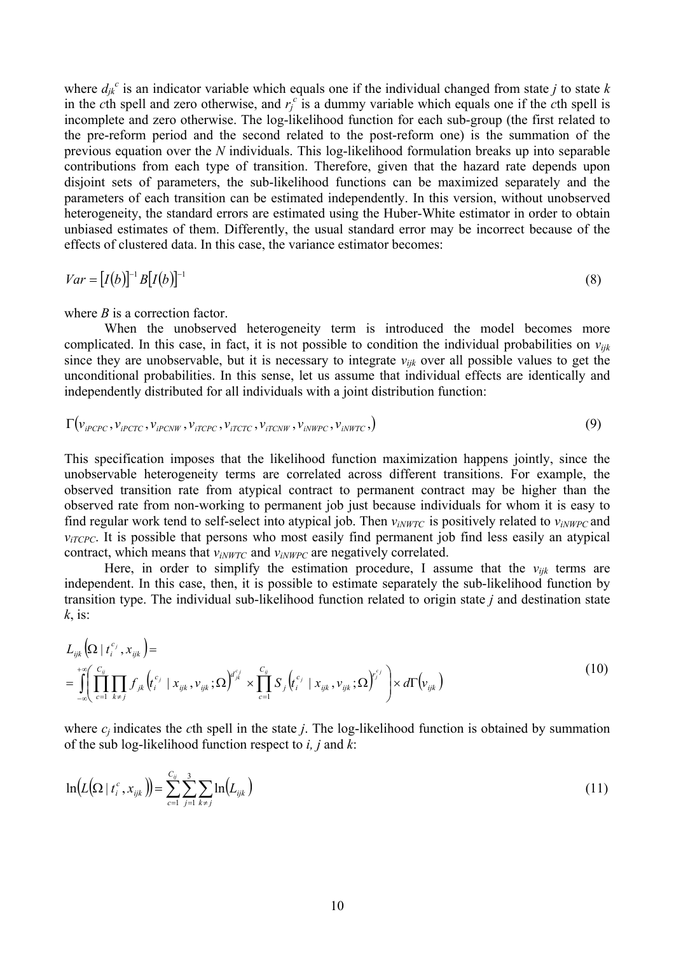where  $d_{jk}^c$  is an indicator variable which equals one if the individual changed from state *j* to state *k* in the *c*th spell and zero otherwise, and  $r_f^c$  is a dummy variable which equals one if the *c*th spell is incomplete and zero otherwise. The log-likelihood function for each sub-group (the first related to the pre-reform period and the second related to the post-reform one) is the summation of the previous equation over the *N* individuals. This log-likelihood formulation breaks up into separable contributions from each type of transition. Therefore, given that the hazard rate depends upon disjoint sets of parameters, the sub-likelihood functions can be maximized separately and the parameters of each transition can be estimated independently. In this version, without unobserved heterogeneity, the standard errors are estimated using the Huber-White estimator in order to obtain unbiased estimates of them. Differently, the usual standard error may be incorrect because of the effects of clustered data. In this case, the variance estimator becomes:

$$
Var = [I(b)]^{-1}B[I(b)]^{-1}
$$
\n
$$
(8)
$$

where *B* is a correction factor.

 When the unobserved heterogeneity term is introduced the model becomes more complicated. In this case, in fact, it is not possible to condition the individual probabilities on *vijk* since they are unobservable, but it is necessary to integrate  $v_{ijk}$  over all possible values to get the unconditional probabilities. In this sense, let us assume that individual effects are identically and independently distributed for all individuals with a joint distribution function:

$$
\Gamma(v_{iPCPC}, v_{iPCTC}, v_{iPCNW}, v_{iTCPC}, v_{iTCTC}, v_{iTCNW}, v_{iNWPC}, v_{iNWTC},)
$$
\n(9)

This specification imposes that the likelihood function maximization happens jointly, since the unobservable heterogeneity terms are correlated across different transitions. For example, the observed transition rate from atypical contract to permanent contract may be higher than the observed rate from non-working to permanent job just because individuals for whom it is easy to find regular work tend to self-select into atypical job. Then  $v_{iNWTC}$  is positively related to  $v_{iNWPC}$  and  $v_{iTCPC}$ . It is possible that persons who most easily find permanent job find less easily an atypical contract, which means that  $v_{iNWTC}$  and  $v_{iNWPC}$  are negatively correlated.

Here, in order to simplify the estimation procedure, I assume that the  $v_{ijk}$  terms are independent. In this case, then, it is possible to estimate separately the sub-likelihood function by transition type. The individual sub-likelihood function related to origin state *j* and destination state *k*, is:

$$
L_{ijk}(\Omega \mid t_i^{c_j}, x_{ijk}) =
$$
\n
$$
= \int_{-\infty}^{+\infty} \left( \prod_{c=1}^{c_{ij}} \prod_{k \neq j} f_{jk} (t_i^{c_j} \mid x_{ijk}, v_{ijk}; \Omega)^{d_{jk}^{c_j}} \times \prod_{c=1}^{c_{ij}} S_j (t_i^{c_j} \mid x_{ijk}, v_{ijk}; \Omega)^{c_j} \right) \times d\Gamma(v_{ijk})
$$
\n(10)

where  $c_i$  indicates the *c*th spell in the state *j*. The log-likelihood function is obtained by summation of the sub log-likelihood function respect to *i, j* and *k*:

$$
\ln(L(\Omega \mid t_i^c, x_{ijk})) = \sum_{c=1}^{C_{ij}} \sum_{j=1}^3 \sum_{k \neq j} \ln(L_{ijk})
$$
\n(11)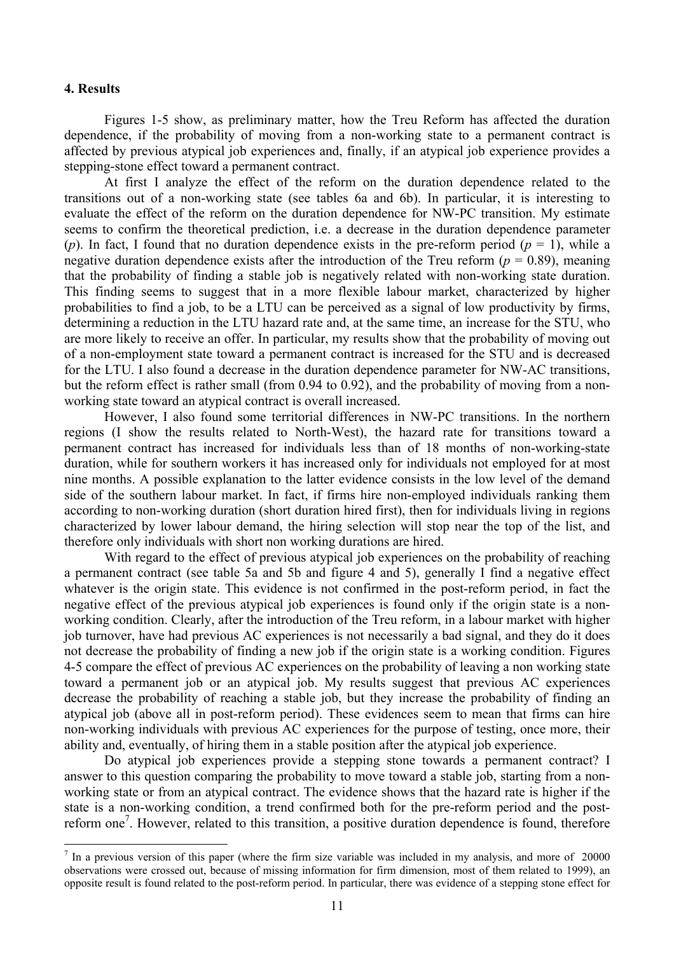#### **4. Results**

 Figures 1-5 show, as preliminary matter, how the Treu Reform has affected the duration dependence, if the probability of moving from a non-working state to a permanent contract is affected by previous atypical job experiences and, finally, if an atypical job experience provides a stepping-stone effect toward a permanent contract.

 At first I analyze the effect of the reform on the duration dependence related to the transitions out of a non-working state (see tables 6a and 6b). In particular, it is interesting to evaluate the effect of the reform on the duration dependence for NW-PC transition. My estimate seems to confirm the theoretical prediction, i.e. a decrease in the duration dependence parameter (*p*). In fact, I found that no duration dependence exists in the pre-reform period ( $p = 1$ ), while a negative duration dependence exists after the introduction of the Treu reform ( $p = 0.89$ ), meaning that the probability of finding a stable job is negatively related with non-working state duration. This finding seems to suggest that in a more flexible labour market, characterized by higher probabilities to find a job, to be a LTU can be perceived as a signal of low productivity by firms, determining a reduction in the LTU hazard rate and, at the same time, an increase for the STU, who are more likely to receive an offer. In particular, my results show that the probability of moving out of a non-employment state toward a permanent contract is increased for the STU and is decreased for the LTU. I also found a decrease in the duration dependence parameter for NW-AC transitions, but the reform effect is rather small (from 0.94 to 0.92), and the probability of moving from a nonworking state toward an atypical contract is overall increased.

 However, I also found some territorial differences in NW-PC transitions. In the northern regions (I show the results related to North-West), the hazard rate for transitions toward a permanent contract has increased for individuals less than of 18 months of non-working-state duration, while for southern workers it has increased only for individuals not employed for at most nine months. A possible explanation to the latter evidence consists in the low level of the demand side of the southern labour market. In fact, if firms hire non-employed individuals ranking them according to non-working duration (short duration hired first), then for individuals living in regions characterized by lower labour demand, the hiring selection will stop near the top of the list, and therefore only individuals with short non working durations are hired.

With regard to the effect of previous atypical job experiences on the probability of reaching a permanent contract (see table 5a and 5b and figure 4 and 5), generally I find a negative effect whatever is the origin state. This evidence is not confirmed in the post-reform period, in fact the negative effect of the previous atypical job experiences is found only if the origin state is a nonworking condition. Clearly, after the introduction of the Treu reform, in a labour market with higher job turnover, have had previous AC experiences is not necessarily a bad signal, and they do it does not decrease the probability of finding a new job if the origin state is a working condition. Figures 4-5 compare the effect of previous AC experiences on the probability of leaving a non working state toward a permanent job or an atypical job. My results suggest that previous AC experiences decrease the probability of reaching a stable job, but they increase the probability of finding an atypical job (above all in post-reform period). These evidences seem to mean that firms can hire non-working individuals with previous AC experiences for the purpose of testing, once more, their ability and, eventually, of hiring them in a stable position after the atypical job experience.

 Do atypical job experiences provide a stepping stone towards a permanent contract? I answer to this question comparing the probability to move toward a stable job, starting from a nonworking state or from an atypical contract. The evidence shows that the hazard rate is higher if the state is a non-working condition, a trend confirmed both for the pre-reform period and the postreform one<sup>7</sup>. However, related to this transition, a positive duration dependence is found, therefore

<sup>&</sup>lt;sup>7</sup> In a previous version of this paper (where the firm size variable was included in my analysis, and more of 20000 observations were crossed out, because of missing information for firm dimension, most of them related to 1999), an opposite result is found related to the post-reform period. In particular, there was evidence of a stepping stone effect for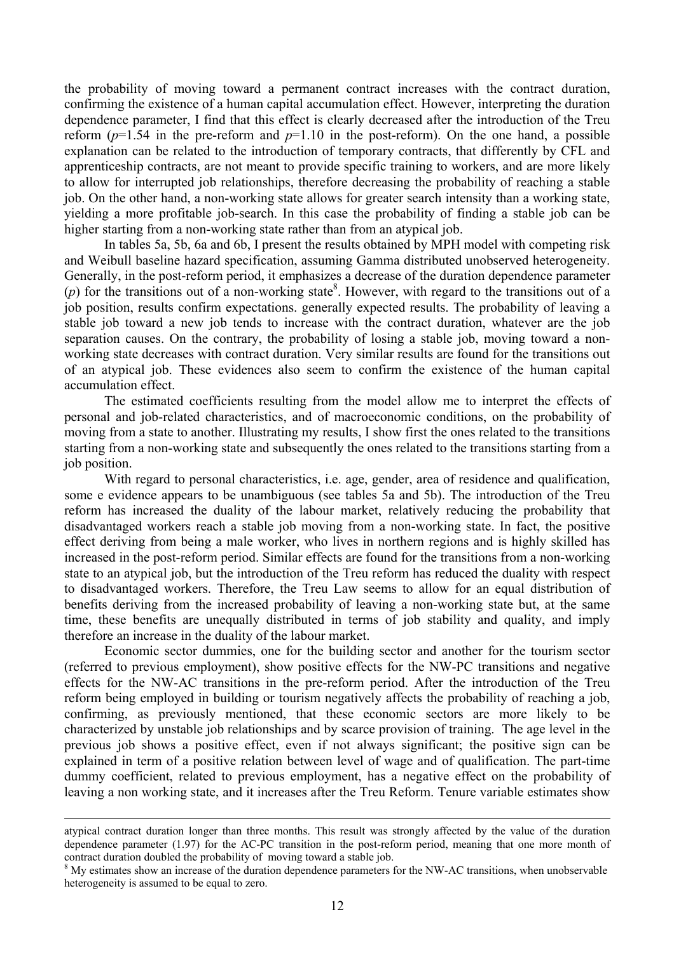the probability of moving toward a permanent contract increases with the contract duration, confirming the existence of a human capital accumulation effect. However, interpreting the duration dependence parameter, I find that this effect is clearly decreased after the introduction of the Treu reform  $(p=1.54$  in the pre-reform and  $p=1.10$  in the post-reform). On the one hand, a possible explanation can be related to the introduction of temporary contracts, that differently by CFL and apprenticeship contracts, are not meant to provide specific training to workers, and are more likely to allow for interrupted job relationships, therefore decreasing the probability of reaching a stable job. On the other hand, a non-working state allows for greater search intensity than a working state, yielding a more profitable job-search. In this case the probability of finding a stable job can be higher starting from a non-working state rather than from an atypical job.

 In tables 5a, 5b, 6a and 6b, I present the results obtained by MPH model with competing risk and Weibull baseline hazard specification, assuming Gamma distributed unobserved heterogeneity. Generally, in the post-reform period, it emphasizes a decrease of the duration dependence parameter  $(p)$  for the transitions out of a non-working state<sup>8</sup>. However, with regard to the transitions out of a job position, results confirm expectations. generally expected results. The probability of leaving a stable job toward a new job tends to increase with the contract duration, whatever are the job separation causes. On the contrary, the probability of losing a stable job, moving toward a nonworking state decreases with contract duration. Very similar results are found for the transitions out of an atypical job. These evidences also seem to confirm the existence of the human capital accumulation effect.

 The estimated coefficients resulting from the model allow me to interpret the effects of personal and job-related characteristics, and of macroeconomic conditions, on the probability of moving from a state to another. Illustrating my results, I show first the ones related to the transitions starting from a non-working state and subsequently the ones related to the transitions starting from a job position.

With regard to personal characteristics, i.e. age, gender, area of residence and qualification, some e evidence appears to be unambiguous (see tables 5a and 5b). The introduction of the Treu reform has increased the duality of the labour market, relatively reducing the probability that disadvantaged workers reach a stable job moving from a non-working state. In fact, the positive effect deriving from being a male worker, who lives in northern regions and is highly skilled has increased in the post-reform period. Similar effects are found for the transitions from a non-working state to an atypical job, but the introduction of the Treu reform has reduced the duality with respect to disadvantaged workers. Therefore, the Treu Law seems to allow for an equal distribution of benefits deriving from the increased probability of leaving a non-working state but, at the same time, these benefits are unequally distributed in terms of job stability and quality, and imply therefore an increase in the duality of the labour market.

 Economic sector dummies, one for the building sector and another for the tourism sector (referred to previous employment), show positive effects for the NW-PC transitions and negative effects for the NW-AC transitions in the pre-reform period. After the introduction of the Treu reform being employed in building or tourism negatively affects the probability of reaching a job, confirming, as previously mentioned, that these economic sectors are more likely to be characterized by unstable job relationships and by scarce provision of training. The age level in the previous job shows a positive effect, even if not always significant; the positive sign can be explained in term of a positive relation between level of wage and of qualification. The part-time dummy coefficient, related to previous employment, has a negative effect on the probability of leaving a non working state, and it increases after the Treu Reform. Tenure variable estimates show

atypical contract duration longer than three months. This result was strongly affected by the value of the duration dependence parameter (1.97) for the AC-PC transition in the post-reform period, meaning that one more month of contract duration doubled the probability of moving toward a stable job.

<sup>&</sup>lt;sup>8</sup> My estimates show an increase of the duration dependence parameters for the NW-AC transitions, when unobservable heterogeneity is assumed to be equal to zero.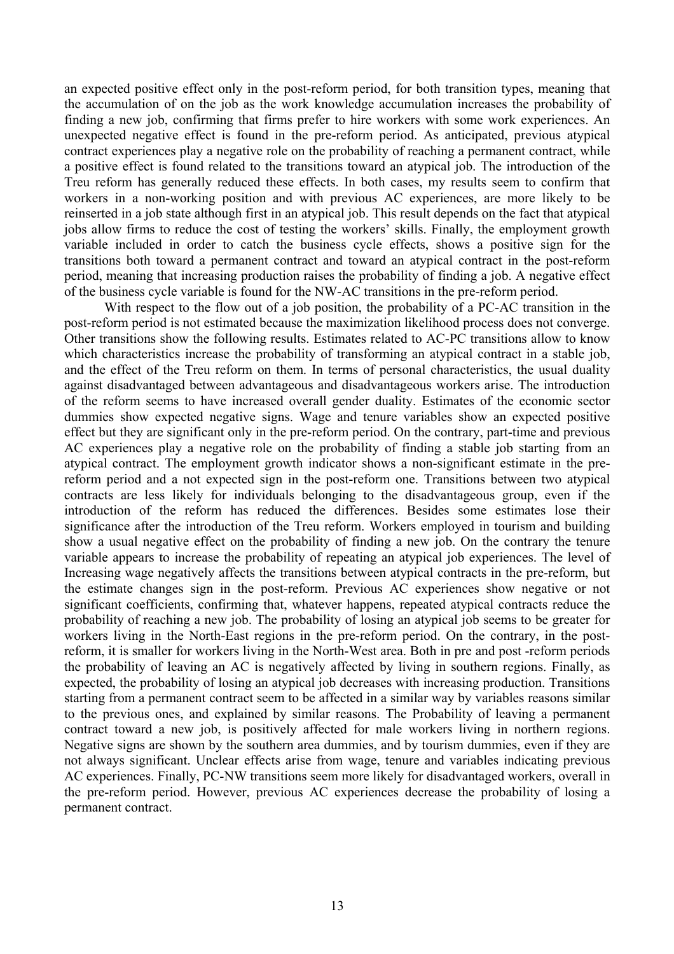an expected positive effect only in the post-reform period, for both transition types, meaning that the accumulation of on the job as the work knowledge accumulation increases the probability of finding a new job, confirming that firms prefer to hire workers with some work experiences. An unexpected negative effect is found in the pre-reform period. As anticipated, previous atypical contract experiences play a negative role on the probability of reaching a permanent contract, while a positive effect is found related to the transitions toward an atypical job. The introduction of the Treu reform has generally reduced these effects. In both cases, my results seem to confirm that workers in a non-working position and with previous AC experiences, are more likely to be reinserted in a job state although first in an atypical job. This result depends on the fact that atypical jobs allow firms to reduce the cost of testing the workers' skills. Finally, the employment growth variable included in order to catch the business cycle effects, shows a positive sign for the transitions both toward a permanent contract and toward an atypical contract in the post-reform period, meaning that increasing production raises the probability of finding a job. A negative effect of the business cycle variable is found for the NW-AC transitions in the pre-reform period.

 With respect to the flow out of a job position, the probability of a PC-AC transition in the post-reform period is not estimated because the maximization likelihood process does not converge. Other transitions show the following results. Estimates related to AC-PC transitions allow to know which characteristics increase the probability of transforming an atypical contract in a stable job, and the effect of the Treu reform on them. In terms of personal characteristics, the usual duality against disadvantaged between advantageous and disadvantageous workers arise. The introduction of the reform seems to have increased overall gender duality. Estimates of the economic sector dummies show expected negative signs. Wage and tenure variables show an expected positive effect but they are significant only in the pre-reform period. On the contrary, part-time and previous AC experiences play a negative role on the probability of finding a stable job starting from an atypical contract. The employment growth indicator shows a non-significant estimate in the prereform period and a not expected sign in the post-reform one. Transitions between two atypical contracts are less likely for individuals belonging to the disadvantageous group, even if the introduction of the reform has reduced the differences. Besides some estimates lose their significance after the introduction of the Treu reform. Workers employed in tourism and building show a usual negative effect on the probability of finding a new job. On the contrary the tenure variable appears to increase the probability of repeating an atypical job experiences. The level of Increasing wage negatively affects the transitions between atypical contracts in the pre-reform, but the estimate changes sign in the post-reform. Previous AC experiences show negative or not significant coefficients, confirming that, whatever happens, repeated atypical contracts reduce the probability of reaching a new job. The probability of losing an atypical job seems to be greater for workers living in the North-East regions in the pre-reform period. On the contrary, in the postreform, it is smaller for workers living in the North-West area. Both in pre and post -reform periods the probability of leaving an AC is negatively affected by living in southern regions. Finally, as expected, the probability of losing an atypical job decreases with increasing production. Transitions starting from a permanent contract seem to be affected in a similar way by variables reasons similar to the previous ones, and explained by similar reasons. The Probability of leaving a permanent contract toward a new job, is positively affected for male workers living in northern regions. Negative signs are shown by the southern area dummies, and by tourism dummies, even if they are not always significant. Unclear effects arise from wage, tenure and variables indicating previous AC experiences. Finally, PC-NW transitions seem more likely for disadvantaged workers, overall in the pre-reform period. However, previous AC experiences decrease the probability of losing a permanent contract.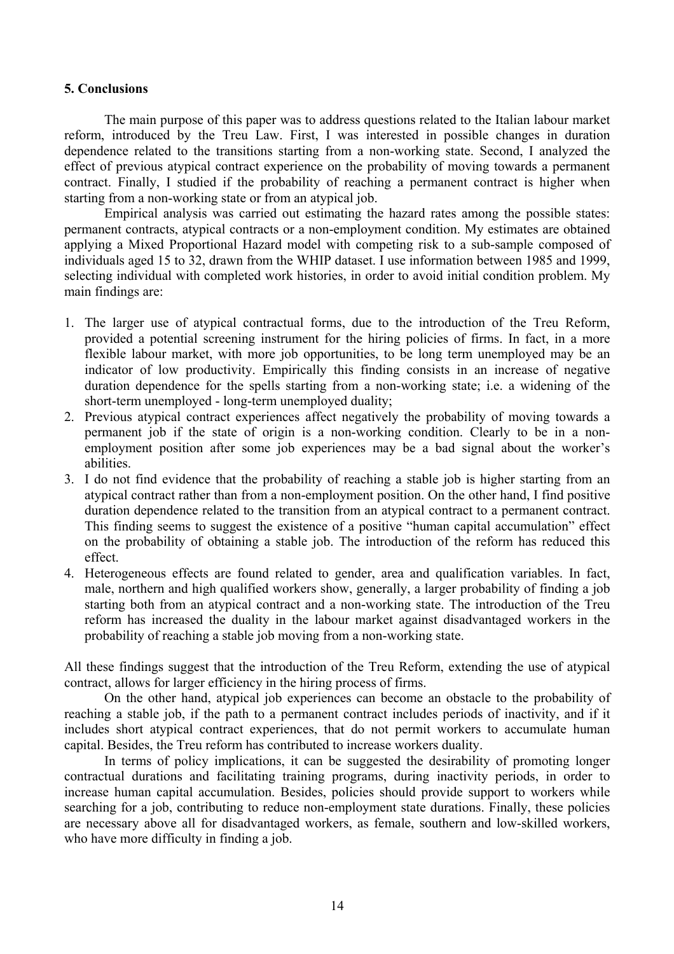#### **5. Conclusions**

 The main purpose of this paper was to address questions related to the Italian labour market reform, introduced by the Treu Law. First, I was interested in possible changes in duration dependence related to the transitions starting from a non-working state. Second, I analyzed the effect of previous atypical contract experience on the probability of moving towards a permanent contract. Finally, I studied if the probability of reaching a permanent contract is higher when starting from a non-working state or from an atypical job.

 Empirical analysis was carried out estimating the hazard rates among the possible states: permanent contracts, atypical contracts or a non-employment condition. My estimates are obtained applying a Mixed Proportional Hazard model with competing risk to a sub-sample composed of individuals aged 15 to 32, drawn from the WHIP dataset. I use information between 1985 and 1999, selecting individual with completed work histories, in order to avoid initial condition problem. My main findings are:

- 1. The larger use of atypical contractual forms, due to the introduction of the Treu Reform, provided a potential screening instrument for the hiring policies of firms. In fact, in a more flexible labour market, with more job opportunities, to be long term unemployed may be an indicator of low productivity. Empirically this finding consists in an increase of negative duration dependence for the spells starting from a non-working state; i.e. a widening of the short-term unemployed - long-term unemployed duality;
- 2. Previous atypical contract experiences affect negatively the probability of moving towards a permanent job if the state of origin is a non-working condition. Clearly to be in a nonemployment position after some job experiences may be a bad signal about the worker's abilities.
- 3. I do not find evidence that the probability of reaching a stable job is higher starting from an atypical contract rather than from a non-employment position. On the other hand, I find positive duration dependence related to the transition from an atypical contract to a permanent contract. This finding seems to suggest the existence of a positive "human capital accumulation" effect on the probability of obtaining a stable job. The introduction of the reform has reduced this effect.
- 4. Heterogeneous effects are found related to gender, area and qualification variables. In fact, male, northern and high qualified workers show, generally, a larger probability of finding a job starting both from an atypical contract and a non-working state. The introduction of the Treu reform has increased the duality in the labour market against disadvantaged workers in the probability of reaching a stable job moving from a non-working state.

All these findings suggest that the introduction of the Treu Reform, extending the use of atypical contract, allows for larger efficiency in the hiring process of firms.

 On the other hand, atypical job experiences can become an obstacle to the probability of reaching a stable job, if the path to a permanent contract includes periods of inactivity, and if it includes short atypical contract experiences, that do not permit workers to accumulate human capital. Besides, the Treu reform has contributed to increase workers duality.

 In terms of policy implications, it can be suggested the desirability of promoting longer contractual durations and facilitating training programs, during inactivity periods, in order to increase human capital accumulation. Besides, policies should provide support to workers while searching for a job, contributing to reduce non-employment state durations. Finally, these policies are necessary above all for disadvantaged workers, as female, southern and low-skilled workers, who have more difficulty in finding a job.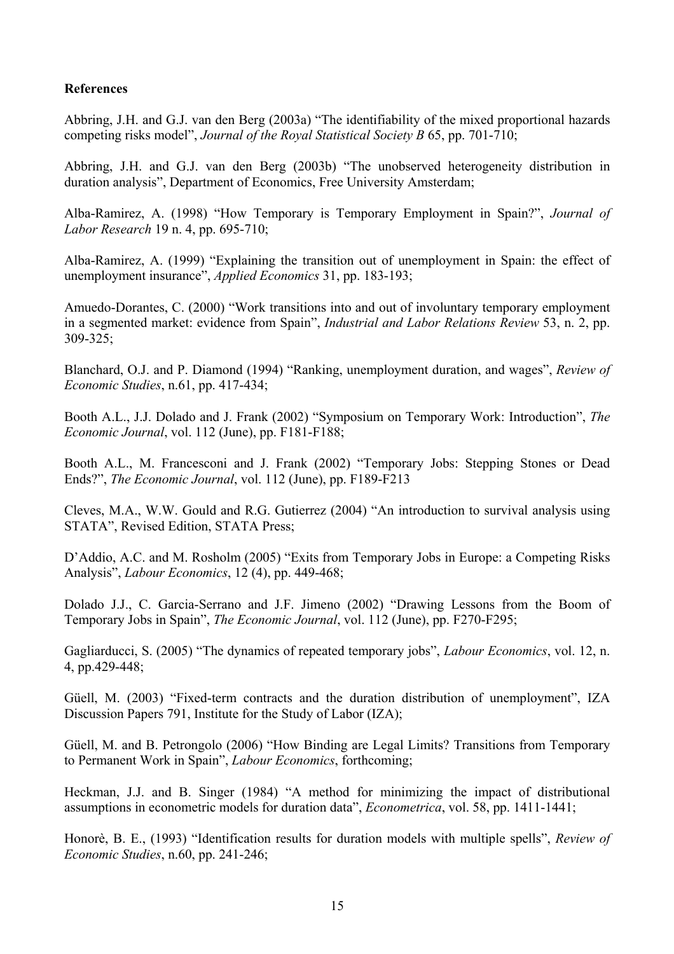## **References**

Abbring, J.H. and G.J. van den Berg (2003a) "The identifiability of the mixed proportional hazards competing risks model", *Journal of the Royal Statistical Society B* 65, pp. 701-710;

Abbring, J.H. and G.J. van den Berg (2003b) "The unobserved heterogeneity distribution in duration analysis", Department of Economics, Free University Amsterdam;

Alba-Ramirez, A. (1998) "How Temporary is Temporary Employment in Spain?", *Journal of Labor Research* 19 n. 4, pp. 695-710;

Alba-Ramirez, A. (1999) "Explaining the transition out of unemployment in Spain: the effect of unemployment insurance", *Applied Economics* 31, pp. 183-193;

Amuedo-Dorantes, C. (2000) "Work transitions into and out of involuntary temporary employment in a segmented market: evidence from Spain", *Industrial and Labor Relations Review* 53, n. 2, pp. 309-325;

Blanchard, O.J. and P. Diamond (1994) "Ranking, unemployment duration, and wages", *Review of Economic Studies*, n.61, pp. 417-434;

Booth A.L., J.J. Dolado and J. Frank (2002) "Symposium on Temporary Work: Introduction", *The Economic Journal*, vol. 112 (June), pp. F181-F188;

Booth A.L., M. Francesconi and J. Frank (2002) "Temporary Jobs: Stepping Stones or Dead Ends?", *The Economic Journal*, vol. 112 (June), pp. F189-F213

Cleves, M.A., W.W. Gould and R.G. Gutierrez (2004) "An introduction to survival analysis using STATA", Revised Edition, STATA Press;

D'Addio, A.C. and M. Rosholm (2005) "Exits from Temporary Jobs in Europe: a Competing Risks Analysis", *Labour Economics*, 12 (4), pp. 449-468;

Dolado J.J., C. Garcia-Serrano and J.F. Jimeno (2002) "Drawing Lessons from the Boom of Temporary Jobs in Spain", *The Economic Journal*, vol. 112 (June), pp. F270-F295;

Gagliarducci, S. (2005) "The dynamics of repeated temporary jobs", *Labour Economics*, vol. 12, n. 4, pp.429-448;

Güell, M. (2003) "Fixed-term contracts and the duration distribution of unemployment", IZA Discussion Papers 791, Institute for the Study of Labor (IZA);

Güell, M. and B. Petrongolo (2006) "How Binding are Legal Limits? Transitions from Temporary to Permanent Work in Spain", *Labour Economics*, forthcoming;

Heckman, J.J. and B. Singer (1984) "A method for minimizing the impact of distributional assumptions in econometric models for duration data", *Econometrica*, vol. 58, pp. 1411-1441;

Honorè, B. E., (1993) "Identification results for duration models with multiple spells", *Review of Economic Studies*, n.60, pp. 241-246;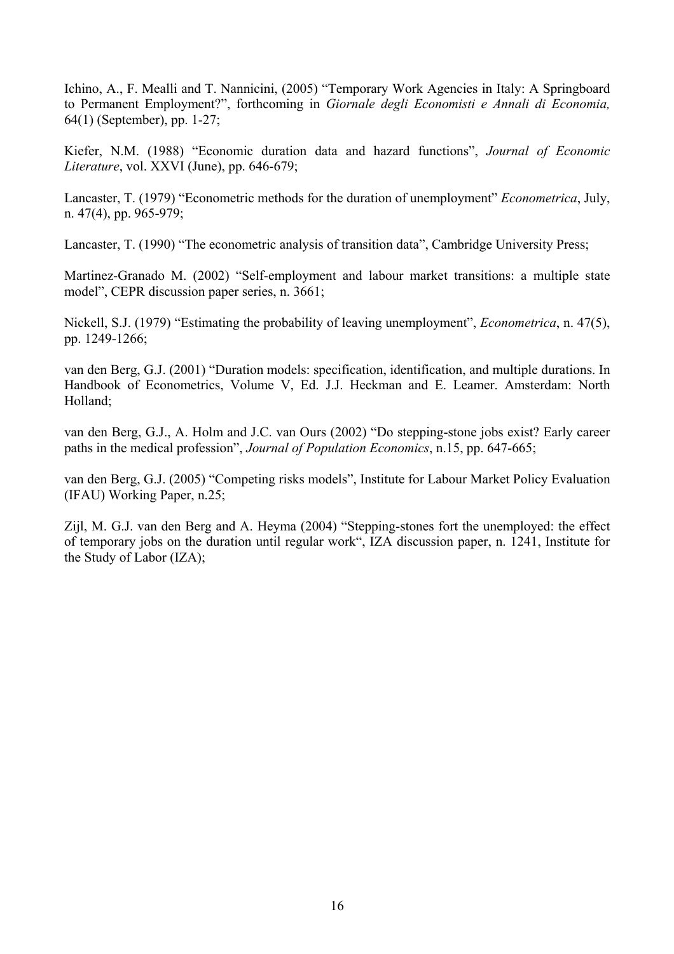Ichino, A., F. Mealli and T. Nannicini, (2005) "Temporary Work Agencies in Italy: A Springboard to Permanent Employment?", forthcoming in *Giornale degli Economisti e Annali di Economia,*  64(1) (September), pp. 1-27;

Kiefer, N.M. (1988) "Economic duration data and hazard functions", *Journal of Economic Literature*, vol. XXVI (June), pp. 646-679;

Lancaster, T. (1979) "Econometric methods for the duration of unemployment" *Econometrica*, July, n. 47(4), pp. 965-979;

Lancaster, T. (1990) "The econometric analysis of transition data", Cambridge University Press;

Martinez-Granado M. (2002) "Self-employment and labour market transitions: a multiple state model", CEPR discussion paper series, n. 3661;

Nickell, S.J. (1979) "Estimating the probability of leaving unemployment", *Econometrica*, n. 47(5), pp. 1249-1266;

van den Berg, G.J. (2001) "Duration models: specification, identification, and multiple durations. In Handbook of Econometrics, Volume V, Ed. J.J. Heckman and E. Leamer. Amsterdam: North Holland;

van den Berg, G.J., A. Holm and J.C. van Ours (2002) "Do stepping-stone jobs exist? Early career paths in the medical profession", *Journal of Population Economics*, n.15, pp. 647-665;

van den Berg, G.J. (2005) "Competing risks models", Institute for Labour Market Policy Evaluation (IFAU) Working Paper, n.25;

Zijl, M. G.J. van den Berg and A. Heyma (2004) "Stepping-stones fort the unemployed: the effect of temporary jobs on the duration until regular work", IZA discussion paper, n. 1241, Institute for the Study of Labor (IZA);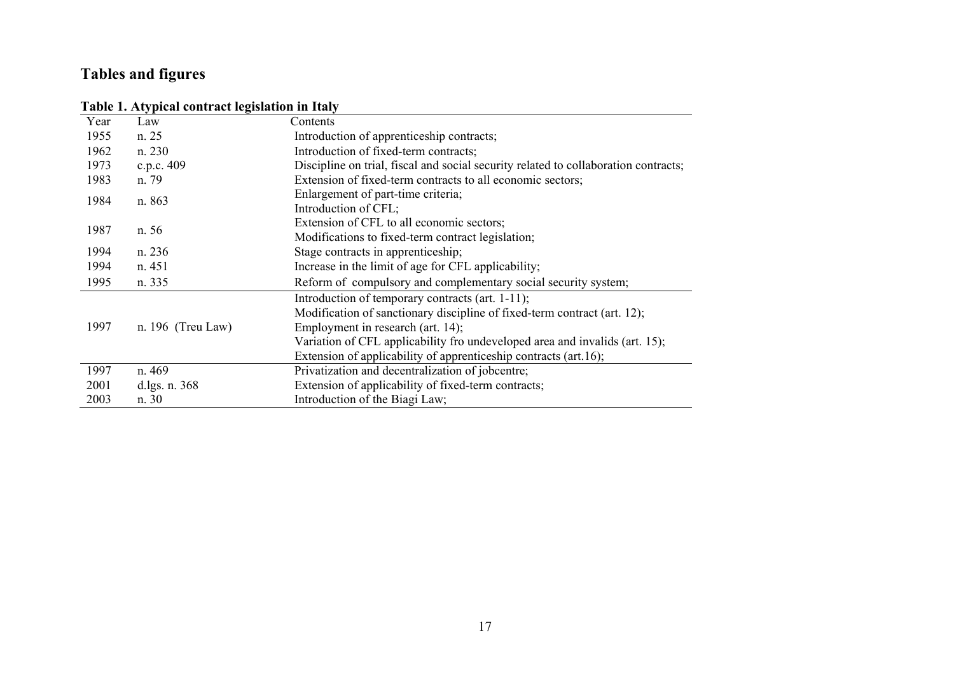# **Tables and figures**

## **Table 1. Atypical contract legislation in Italy**

|      | . .               |                                                                                                                                                                                                                                                                                                                      |
|------|-------------------|----------------------------------------------------------------------------------------------------------------------------------------------------------------------------------------------------------------------------------------------------------------------------------------------------------------------|
| Year | Law               | Contents                                                                                                                                                                                                                                                                                                             |
| 1955 | n. 25             | Introduction of apprenticeship contracts;                                                                                                                                                                                                                                                                            |
| 1962 | n. 230            | Introduction of fixed-term contracts;                                                                                                                                                                                                                                                                                |
| 1973 | c.p.c. 409        | Discipline on trial, fiscal and social security related to collaboration contracts;                                                                                                                                                                                                                                  |
| 1983 | n. 79             | Extension of fixed-term contracts to all economic sectors;                                                                                                                                                                                                                                                           |
| 1984 | n. 863            | Enlargement of part-time criteria;<br>Introduction of CFL;                                                                                                                                                                                                                                                           |
| 1987 | n. 56             | Extension of CFL to all economic sectors;<br>Modifications to fixed-term contract legislation;                                                                                                                                                                                                                       |
| 1994 | n. 236            | Stage contracts in apprenticeship;                                                                                                                                                                                                                                                                                   |
| 1994 | n. 451            | Increase in the limit of age for CFL applicability;                                                                                                                                                                                                                                                                  |
| 1995 | n. 335            | Reform of compulsory and complementary social security system;                                                                                                                                                                                                                                                       |
| 1997 | n. 196 (Treu Law) | Introduction of temporary contracts (art. 1-11);<br>Modification of sanctionary discipline of fixed-term contract (art. 12);<br>Employment in research (art. 14);<br>Variation of CFL applicability fro undeveloped area and invalids (art. 15);<br>Extension of applicability of apprenticeship contracts (art.16); |
| 1997 | n. 469            | Privatization and decentralization of jobcentre;                                                                                                                                                                                                                                                                     |
| 2001 | d.lgs. n. 368     | Extension of applicability of fixed-term contracts;                                                                                                                                                                                                                                                                  |
| 2003 | n. 30             | Introduction of the Biagi Law;                                                                                                                                                                                                                                                                                       |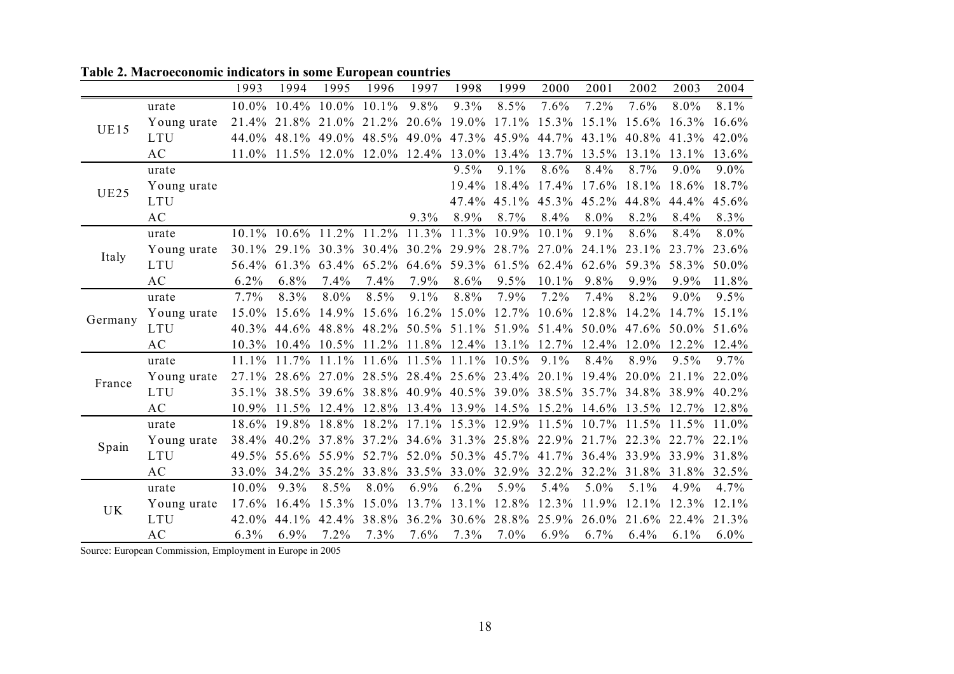|             |             | 1993     | 1994           | 1995                       | 1996              | 1997              | 1998                          | 1999        | 2000        | 2001        | 2002  | 2003              | 2004    |
|-------------|-------------|----------|----------------|----------------------------|-------------------|-------------------|-------------------------------|-------------|-------------|-------------|-------|-------------------|---------|
|             | urate       | 10.0%    | 10.4%          | 10.0%                      | 10.1%             | 9.8%              | 9.3%                          | 8.5%        | 7.6%        | 7.2%        | 7.6%  | 8.0%              | 8.1%    |
| <b>UE15</b> | Young urate | 21.4%    | 21.8%          | 21.0%                      | 21.2%             | 20.6%             | 19.0%                         | 17.1%       | 15.3%       | 15.1%       | 15.6% | 16.3%             | 16.6%   |
|             | <b>LTU</b>  | 44.0%    | 48.1%          | 49.0%                      | 48.5%             |                   | 49.0% 47.3%                   | 45.9%       | 44.7%       | 43.1%       | 40.8% | 41.3%             | 42.0%   |
|             | AC          | $11.0\%$ |                | $11.5\%$ 12.0% 12.0% 12.4% |                   |                   | 13.0%                         | 13.4%       | 13.7%       | 13.5%       | 13.1% | 13.1%             | 13.6%   |
|             | urate       |          |                |                            |                   |                   | 9.5%                          | 9.1%        | 8.6%        | 8.4%        | 8.7%  | 9.0%              | 9.0%    |
| <b>UE25</b> | Young urate |          |                |                            |                   |                   | 19.4%                         | 18.4%       | 17.4%       | 17.6%       | 18.1% | 18.6%             | 18.7%   |
|             | <b>LTU</b>  |          |                |                            |                   |                   | 47.4%                         | 45.1%       | 45.3%       | 45.2%       | 44.8% | 44.4%             | 45.6%   |
|             | <b>AC</b>   |          |                |                            |                   | 9.3%              | 8.9%                          | 8.7%        | 8.4%        | 8.0%        | 8.2%  | 8.4%              | 8.3%    |
|             | urate       |          | $10.1\%$ 10.6% |                            | 11.2% 11.2% 11.3% |                   | 11.3%                         | 10.9%       | 10.1%       | 9.1%        | 8.6%  | 8.4%              | 8.0%    |
| Italy       | Young urate | $30.1\%$ | 29.1%          | 30.3%                      |                   |                   | 30.4% 30.2% 29.9% 28.7%       |             | 27.0%       | 24.1%       | 23.1% | 23.7%             | 23.6%   |
|             | <b>LTU</b>  | 56.4%    | 61.3%          | 63.4%                      | 65.2%             | 64.6%             | 59.3% 61.5%                   |             | 62.4%       | 62.6%       | 59.3% | 58.3%             | 50.0%   |
|             | <b>AC</b>   | 6.2%     | 6.8%           | 7.4%                       | 7.4%              | 7.9%              | 8.6%                          | 9.5%        | 10.1%       | 9.8%        | 9.9%  | 9.9%              | 11.8%   |
|             | urate       | 7.7%     | 8.3%           | 8.0%                       | 8.5%              | 9.1%              | 8.8%                          | 7.9%        | 7.2%        | 7.4%        | 8.2%  | 9.0%              | 9.5%    |
| Germany     | Young urate | 15.0%    | 15.6%          | 14.9%                      | 15.6%             | $16.2\%$          | 15.0% 12.7%                   |             | 10.6%       | 12.8%       | 14.2% | 14.7%             | 15.1%   |
|             | <b>LTU</b>  | 40.3%    | 44.6%          | 48.8%                      | 48.2%             |                   | $50.5\%$ 51.1%                | 51.9%       | 51.4%       | 50.0%       | 47.6% | 50.0%             | 51.6%   |
|             | <b>AC</b>   | 10.3%    | $10.4\%$       |                            |                   |                   | 10.5% 11.2% 11.8% 12.4% 13.1% |             | 12.7%       | 12.4%       | 12.0% | 12.2%             | 12.4%   |
|             | urate       | 11.1%    | 11.7%          | 11.1%                      | 11.6%             | 11.5%             | 11.1%                         | 10.5%       | 9.1%        | 8.4%        | 8.9%  | 9.5%              | 9.7%    |
| France      | Young urate | 27.1%    | 28.6%          | 27.0%                      | 28.5%             |                   | 28.4% 25.6% 23.4%             |             | 20.1%       | 19.4%       | 20.0% | $21.1\%$          | 22.0%   |
|             | <b>LTU</b>  | 35.1%    | 38.5%          | 39.6%                      | 38.8%             |                   | 40.9% 40.5% 39.0%             |             | 38.5%       | 35.7%       | 34.8% | 38.9%             | 40.2%   |
|             | <b>AC</b>   | 10.9%    | 11.5%          | 12.4%                      |                   |                   | 12.8% 13.4% 13.9% 14.5%       |             | 15.2% 14.6% |             | 13.5% | 12.7%             | 12.8%   |
|             | urate       | 18.6%    | 19.8%          | 18.8%                      | 18.2%             | 17.1%             | 15.3%                         | 12.9%       | 11.5%       | 10.7%       | 11.5% | 11.5%             | 11.0%   |
| Spain       | Young urate | 38.4%    | 40.2%          | 37.8%                      | 37.2%             | 34.6%             |                               | 31.3% 25.8% | 22.9%       | 21.7%       | 22.3% | 22.7%             | 22.1%   |
|             | <b>LTU</b>  | 49.5%    | 55.6%          | 55.9%                      |                   |                   | 52.7% 52.0% 50.3% 45.7%       |             |             | 41.7% 36.4% | 33.9% | 33.9%             | 31.8%   |
|             | <b>AC</b>   | 33.0%    | 34.2%          | 35.2%                      |                   | 33.8% 33.5% 33.0% |                               | 32.9%       | 32.2%       | 32.2%       |       | 31.8% 31.8% 32.5% |         |
|             | urate       | 10.0%    | 9.3%           | 8.5%                       | 8.0%              | 6.9%              | 6.2%                          | 5.9%        | 5.4%        | 5.0%        | 5.1%  | 4.9%              | 4.7%    |
| <b>UK</b>   | Young urate | 17.6%    | 16.4%          | 15.3%                      | 15.0%             | 13.7%             | 13.1%                         | 12.8%       | 12.3%       | 11.9%       | 12.1% | 12.3%             | 12.1%   |
|             | <b>LTU</b>  | 42.0%    | 44.1%          | 42.4%                      | 38.8%             | 36.2%             | 30.6%                         | 28.8%       | 25.9%       | 26.0%       | 21.6% | 22.4%             | 21.3%   |
|             | AC          | 6.3%     | 6.9%           | 7.2%                       | 7.3%              | 7.6%              | 7.3%                          | 7.0%        | 6.9%        | 6.7%        | 6.4%  | 6.1%              | $6.0\%$ |

**Table 2. Macroeconomic indicators in some European countries** 

Source: European Commission, Employment in Europe in 2005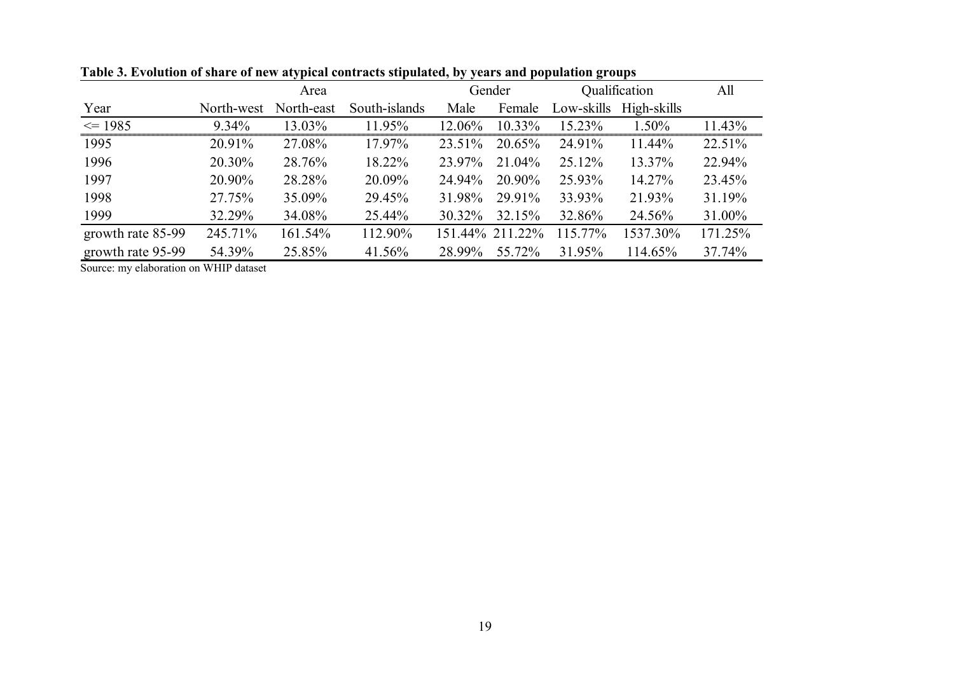|                   |            |            | Gender        | Qualification | All             |            |             |         |
|-------------------|------------|------------|---------------|---------------|-----------------|------------|-------------|---------|
| Year              | North-west | North-east | South-islands | Male          | Female          | Low-skills | High-skills |         |
| $\leq$ 1985       | 9.34%      | 13.03%     | 11.95%        | 12.06%        | 10.33%          | 15.23%     | 1.50%       | 11.43%  |
| 1995              | 20.91%     | 27.08%     | 17.97%        | 23.51%        | 20.65%          | 24.91%     | 11.44%      | 22.51%  |
| 1996              | 20.30%     | 28.76%     | 18.22%        | 23.97%        | 21.04%          | 25.12%     | 13.37%      | 22.94%  |
| 1997              | 20.90%     | 28.28%     | 20.09%        | 24.94%        | 20.90%          | 25.93%     | 14.27%      | 23.45%  |
| 1998              | 27.75%     | 35.09%     | 29.45%        | 31.98%        | 29.91%          | 33.93%     | 21.93%      | 31.19%  |
| 1999              | 32.29%     | 34.08%     | 25.44%        | 30.32%        | 32.15%          | 32.86%     | 24.56%      | 31.00%  |
| growth rate 85-99 | 245.71%    | 161.54%    | 112.90%       |               | 151.44% 211.22% | 115.77%    | 1537.30%    | 171.25% |
| growth rate 95-99 | 54.39%     | 25.85%     | 41.56%        | 28.99%        | 55.72%          | 31.95%     | 114.65%     | 37.74%  |

**Table 3. Evolution of share of new atypical contracts stipulated, by years and population groups**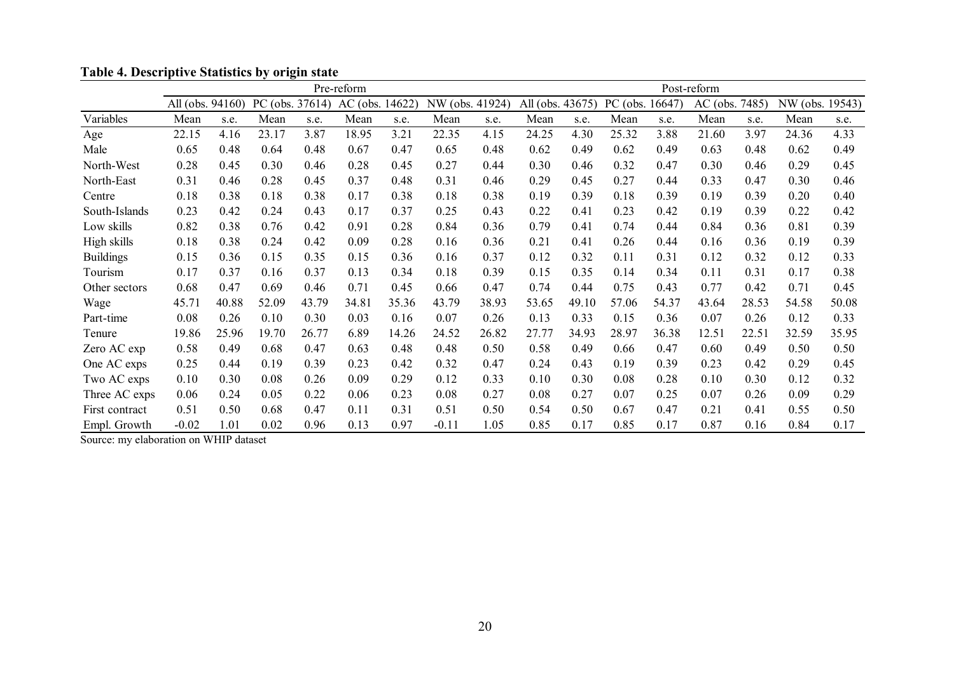|                  | Pre-reform       |       |       |                    |                 |       |                 |       |                  | Post-reform |                 |       |                |       |                 |       |
|------------------|------------------|-------|-------|--------------------|-----------------|-------|-----------------|-------|------------------|-------------|-----------------|-------|----------------|-------|-----------------|-------|
|                  | All (obs. 94160) |       |       | PC (obs. $37614$ ) | AC (obs. 14622) |       | NW (obs. 41924) |       | All (obs. 43675) |             | PC (obs. 16647) |       | AC (obs. 7485) |       | NW (obs. 19543) |       |
| Variables        | Mean             | s.e.  | Mean  | s.e.               | Mean            | s.e.  | Mean            | s.e.  | Mean             | s.e.        | Mean            | s.e.  | Mean           | s.e.  | Mean            | s.e.  |
| Age              | 22.15            | 4.16  | 23.17 | 3.87               | 18.95           | 3.21  | 22.35           | 4.15  | 24.25            | 4.30        | 25.32           | 3.88  | 21.60          | 3.97  | 24.36           | 4.33  |
| Male             | 0.65             | 0.48  | 0.64  | 0.48               | 0.67            | 0.47  | 0.65            | 0.48  | 0.62             | 0.49        | 0.62            | 0.49  | 0.63           | 0.48  | 0.62            | 0.49  |
| North-West       | 0.28             | 0.45  | 0.30  | 0.46               | 0.28            | 0.45  | 0.27            | 0.44  | 0.30             | 0.46        | 0.32            | 0.47  | 0.30           | 0.46  | 0.29            | 0.45  |
| North-East       | 0.31             | 0.46  | 0.28  | 0.45               | 0.37            | 0.48  | 0.31            | 0.46  | 0.29             | 0.45        | 0.27            | 0.44  | 0.33           | 0.47  | 0.30            | 0.46  |
| Centre           | 0.18             | 0.38  | 0.18  | 0.38               | 0.17            | 0.38  | 0.18            | 0.38  | 0.19             | 0.39        | 0.18            | 0.39  | 0.19           | 0.39  | 0.20            | 0.40  |
| South-Islands    | 0.23             | 0.42  | 0.24  | 0.43               | 0.17            | 0.37  | 0.25            | 0.43  | 0.22             | 0.41        | 0.23            | 0.42  | 0.19           | 0.39  | 0.22            | 0.42  |
| Low skills       | 0.82             | 0.38  | 0.76  | 0.42               | 0.91            | 0.28  | 0.84            | 0.36  | 0.79             | 0.41        | 0.74            | 0.44  | 0.84           | 0.36  | 0.81            | 0.39  |
| High skills      | 0.18             | 0.38  | 0.24  | 0.42               | 0.09            | 0.28  | 0.16            | 0.36  | 0.21             | 0.41        | 0.26            | 0.44  | 0.16           | 0.36  | 0.19            | 0.39  |
| <b>Buildings</b> | 0.15             | 0.36  | 0.15  | 0.35               | 0.15            | 0.36  | 0.16            | 0.37  | 0.12             | 0.32        | 0.11            | 0.31  | 0.12           | 0.32  | 0.12            | 0.33  |
| Tourism          | 0.17             | 0.37  | 0.16  | 0.37               | 0.13            | 0.34  | 0.18            | 0.39  | 0.15             | 0.35        | 0.14            | 0.34  | 0.11           | 0.31  | 0.17            | 0.38  |
| Other sectors    | 0.68             | 0.47  | 0.69  | 0.46               | 0.71            | 0.45  | 0.66            | 0.47  | 0.74             | 0.44        | 0.75            | 0.43  | 0.77           | 0.42  | 0.71            | 0.45  |
| Wage             | 45.71            | 40.88 | 52.09 | 43.79              | 34.81           | 35.36 | 43.79           | 38.93 | 53.65            | 49.10       | 57.06           | 54.37 | 43.64          | 28.53 | 54.58           | 50.08 |
| Part-time        | 0.08             | 0.26  | 0.10  | 0.30               | 0.03            | 0.16  | 0.07            | 0.26  | 0.13             | 0.33        | 0.15            | 0.36  | 0.07           | 0.26  | 0.12            | 0.33  |
| Tenure           | 19.86            | 25.96 | 19.70 | 26.77              | 6.89            | 14.26 | 24.52           | 26.82 | 27.77            | 34.93       | 28.97           | 36.38 | 12.51          | 22.51 | 32.59           | 35.95 |
| Zero AC exp      | 0.58             | 0.49  | 0.68  | 0.47               | 0.63            | 0.48  | 0.48            | 0.50  | 0.58             | 0.49        | 0.66            | 0.47  | 0.60           | 0.49  | 0.50            | 0.50  |
| One AC exps      | 0.25             | 0.44  | 0.19  | 0.39               | 0.23            | 0.42  | 0.32            | 0.47  | 0.24             | 0.43        | 0.19            | 0.39  | 0.23           | 0.42  | 0.29            | 0.45  |
| Two AC exps      | 0.10             | 0.30  | 0.08  | 0.26               | 0.09            | 0.29  | 0.12            | 0.33  | 0.10             | 0.30        | 0.08            | 0.28  | 0.10           | 0.30  | 0.12            | 0.32  |
| Three AC exps    | 0.06             | 0.24  | 0.05  | 0.22               | 0.06            | 0.23  | 0.08            | 0.27  | 0.08             | 0.27        | 0.07            | 0.25  | 0.07           | 0.26  | 0.09            | 0.29  |
| First contract   | 0.51             | 0.50  | 0.68  | 0.47               | 0.11            | 0.31  | 0.51            | 0.50  | 0.54             | 0.50        | 0.67            | 0.47  | 0.21           | 0.41  | 0.55            | 0.50  |
| Empl. Growth     | $-0.02$          | 1.01  | 0.02  | 0.96               | 0.13            | 0.97  | $-0.11$         | 1.05  | 0.85             | 0.17        | 0.85            | 0.17  | 0.87           | 0.16  | 0.84            | 0.17  |

**Table 4. Descriptive Statistics by origin state**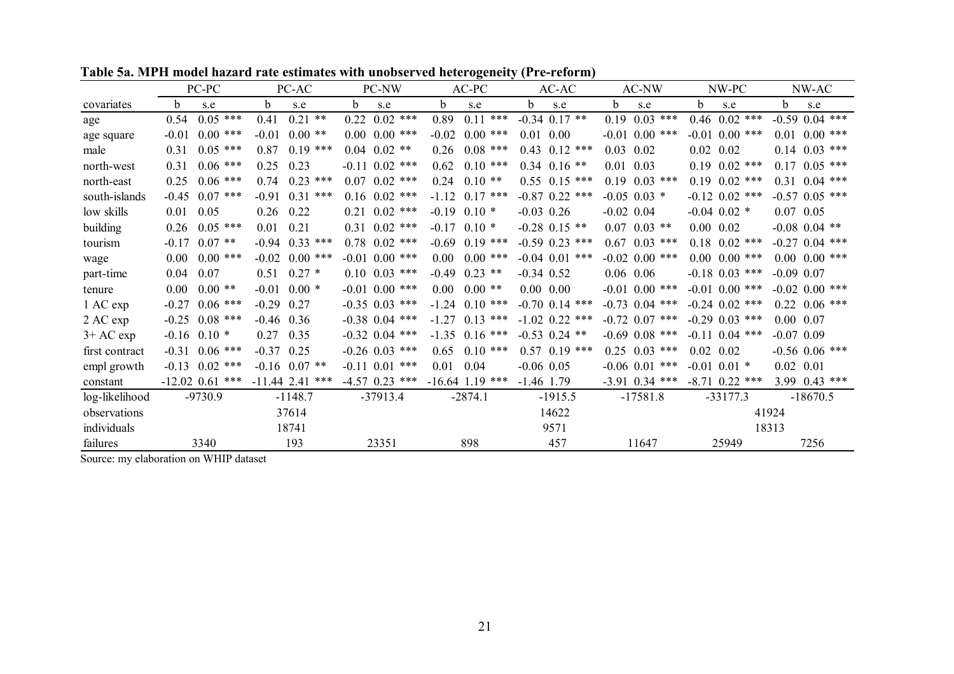|                |                  | PC-PC             |              | PC-AC              | mouch mazar a rate estimates with unobserved neterogeneity (FTC reform)<br>PC-NW |         | $AC-PC$             | AC-AC                 | AC-NW              | NW-PC             | NW-AC              |
|----------------|------------------|-------------------|--------------|--------------------|----------------------------------------------------------------------------------|---------|---------------------|-----------------------|--------------------|-------------------|--------------------|
| covariates     | b.               | s.e               | h            | s.e                | b.<br>s.e                                                                        | b.      | s.e                 | <sub>b</sub><br>s.e   | b.<br>s.e          | h<br>s.e          | h.<br>s.e          |
| age            | 0.54             | $0.05$ ***        | 0.41         | $0.21$ **          | 0.22<br>$0.02$ ***                                                               | 0.89    | $0.11$ ***          | $-0.34$ 0.17 **       | 0.19<br>$0.03$ *** | $0.46$ $0.02$ *** | $-0.59$ 0.04 ***   |
| age square     | $-0.01$          | $0.00$ ***        | $-0.01$      | $0.00**$           | $0.00\ 0.00$ ***                                                                 | $-0.02$ | $0.00$ ***          | 0.00<br>0.01          | $-0.01$ 0.00 ***   | $-0.01$ 0.00 ***  | $0.00$ ***<br>0.01 |
| male           | 0.31             | $0.05$ ***        | 0.87         | $0.19$ ***         | $0.04$ $0.02$ **                                                                 | 0.26    | $0.08$ ***          | $0.43 \quad 0.12$ *** | 0.03<br>0.02       | $0.02 \quad 0.02$ | $0.14$ $0.03$ ***  |
| north-west     | 0.31             | $0.06$ ***        | 0.25         | 0.23               | $-0.11$ 0.02 ***                                                                 | 0.62    | $0.10***$           | $0.34$ 0.16 **        | 0.03<br>0.01       | $0.19$ $0.02$ *** | $0.17$ $0.05$ ***  |
| north-east     | 0.25             | $0.06$ ***        | 0.74         | $0.23$ ***         | $0.07$ $0.02$ ***                                                                | 0.24    | $0.10**$            | $0.55$ $0.15$ ***     | $0.19$ $0.03$ ***  | $0.19$ $0.02$ *** | $0.31$ $0.04$ ***  |
| south-islands  | $-0.45$          | $0.07$ ***        | $-0.91$      | 0.31<br>***        | $0.16$ $0.02$ ***                                                                | $-112$  | $0.17$ ***          | $-0.87$ 0.22 ***      | $-0.05$ 0.03 $*$   | $-0.12$ 0.02 ***  | $-0.57$ 0.05 ***   |
| low skills     | 0.01             | 0.05              | 0.26         | 0.22               | $0.21 \quad 0.02$ ***                                                            | $-0.19$ | $0.10*$             | $-0.03$ 0.26          | $-0.02$ 0.04       | $-0.04$ 0.02 *    | $0.07$ 0.05        |
| building       | 0.26             | $0.05$ ***        | 0.01         | 0.21               | $0.31$ $0.02$ ***                                                                | $-0.17$ | $0.10*$             | $-0.28$ 0.15 **       | $0.07$ $0.03$ **   | $0.00 \quad 0.02$ | $-0.08$ 0.04 **    |
| tourism        | $-0.17$          | $0.07$ **         |              | $-0.94$ $0.33$ *** | $0.78$ $0.02$ ***                                                                | $-0.69$ | $0.19$ ***          | $-0.59$ 0.23 ***      | $0.67$ $0.03$ ***  | $0.18$ $0.02$ *** | $-0.27$ 0.04 ***   |
| wage           | 0.00             | $0.00$ ***        |              | $-0.02$ 0.00 ***   | $-0.01$ 0.00 ***                                                                 | 0.00    | $0.00$ ***          | $-0.04$ 0.01 ***      | $-0.02$ 0.00 ***   | $0.00~0.00$ ***   | $0.00 \, 0.00$ *** |
| part-time      | 0.04             | 0.07              | 0.51         | $0.27*$            | $0.10$ $0.03$ ***                                                                | $-0.49$ | $0.23$ **           | $-0.34$ 0.52          | $0.06$ 0.06        | $-0.18$ 0.03 ***  | $-0.09$ 0.07       |
| tenure         | 0.00             | $0.00**$          | $-0.01$      | $0.00*$            | $-0.01$ 0.00 ***                                                                 | 0.00    | $0.00$ **           | $0.00\ 0.00$          | $-0.01$ 0.00 ***   | $-0.01$ 0.00 ***  | $-0.02$ 0.00 ***   |
| 1 AC exp       | $-0.27$          | $0.06$ ***        | $-0.29$ 0.27 |                    | $-0.35$ 0.03 ***                                                                 |         | $-1, 24, 0, 10$ *** | $-0.70$ 0.14 ***      | $-0.73$ 0.04 ***   | $-0.24$ 0.02 ***  | $0.22 \ 0.06$ ***  |
| 2 AC exp       |                  | $-0.25$ 0.08 ***  | $-0.46$ 0.36 |                    | $-0.38$ 0.04 ***                                                                 | $-127$  | $0.13$ ***          | $-1.02$ 0.22 ***      | $-0.72$ 0.07 ***   | $-0.29$ 0.03 ***  | $0.00 \quad 0.07$  |
| $3+AC$ exp     | $-0.16$ 0.10 $*$ |                   | 0.27         | 0.35               | $-0.32$ 0.04 ***                                                                 |         | $-1.35$ 0.16 ***    | $-0.53$ 0.24 **       | $-0.69$ 0.08 ***   | $-0.11$ 0.04 ***  | $-0.07$ 0.09       |
| first contract |                  | $-0.31$ 0.06 ***  | $-0.37$ 0.25 |                    | $-0.26$ 0.03 ***                                                                 | 0.65    | $0.10***$           | $0.57$ 0.19 ***       | $0.25$ $0.03$ ***  | $0.02 \quad 0.02$ | $-0.56$ 0.06 ***   |
| empl growth    | $-0.13$          | $0.02$ ***        |              | $-0.16$ 0.07 **    | $-0.11$ $0.01$ ***                                                               | 0.01    | 0.04                | $-0.06$ 0.05          | $-0.06$ 0.01 ***   | $-0.01$ 0.01 $*$  | $0.02$ 0.01        |
| constant       |                  | $-12.02$ 0.61 *** |              | $-11.44$ 2.41 ***  | $-4.57$ 0.23 ***                                                                 |         | $-16.64$ 1.19 ***   | $-1.46$ 1.79          | $-3.91$ 0.34 ***   | $-8.71$ 0.22 ***  | $3.99$ 0.43 ***    |
| log-likelihood |                  | $-9730.9$         |              | $-1148.7$          | $-37913.4$                                                                       |         | $-2874.1$           | $-1915.5$             | $-17581.8$         | $-33177.3$        | $-18670.5$         |
| observations   |                  |                   |              | 37614              |                                                                                  |         |                     | 14622                 |                    |                   | 41924              |
| individuals    |                  |                   |              | 18741              |                                                                                  |         |                     | 9571                  |                    |                   | 18313              |
| failures       |                  | 3340              |              | 193                | 23351                                                                            |         | 898                 | 457                   | 11647              | 25949             | 7256               |

**Table 5a. MPH model hazard rate estimates with unobserved heterogeneity (Pre-reform)**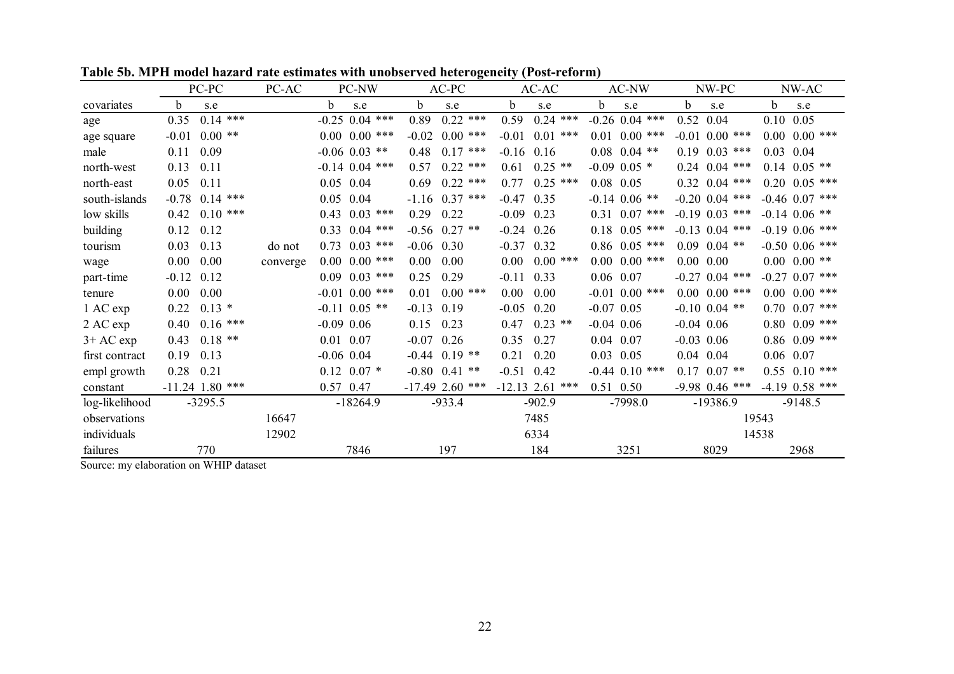|                | PC-PC               | PC-AC      | PC-NW              | $AC-PC$               | $\epsilon$ . $\epsilon$ , $\epsilon$ , $\epsilon$ , $\epsilon$ , $\epsilon$ , $\epsilon$ , $\epsilon$ , $\epsilon$ , $\epsilon$ , $\epsilon$ , $\epsilon$ , $\epsilon$ , $\epsilon$ , $\epsilon$ , $\epsilon$ , $\epsilon$ , $\epsilon$ , $\epsilon$ , $\epsilon$ , $\epsilon$ , $\epsilon$ , $\epsilon$ , $\epsilon$ , $\epsilon$ , $\epsilon$ , $\epsilon$ , $\epsilon$ , $\epsilon$ , $\epsilon$ , $\epsilon$ , $\epsilon$<br>AC-AC | AC-NW              | NW-PC                 | NW-AC             |
|----------------|---------------------|------------|--------------------|-----------------------|----------------------------------------------------------------------------------------------------------------------------------------------------------------------------------------------------------------------------------------------------------------------------------------------------------------------------------------------------------------------------------------------------------------------------------------|--------------------|-----------------------|-------------------|
| covariates     | h<br>s.e            |            | b<br>s.e           | b<br>s.e              | b.<br>s.e                                                                                                                                                                                                                                                                                                                                                                                                                              | b.<br>s.e          | b<br>s.e              | h<br>s.e          |
| age            | 0.35                | $0.14$ *** | $-0.25$ 0.04 ***   | $0.22$ ***<br>0.89    | 0.59<br>$0.24$ ***                                                                                                                                                                                                                                                                                                                                                                                                                     | $-0.26$ 0.04 ***   | 0.52<br>0.04          | 0.05<br>0.10      |
| age square     | $-0.01$<br>$0.00**$ |            | $0.00 \, 0.00$ *** | $-0.02$<br>$0.00$ *** | $-0.01$<br>$0.01$ ***                                                                                                                                                                                                                                                                                                                                                                                                                  | $0.01$ $0.00$ ***  | $0.00$ ***<br>$-0.01$ | $0.00~0.00$ ***   |
| male           | 0.11<br>0.09        |            | $-0.06$ 0.03 **    | $0.17$ ***<br>0.48    | $-0.16$<br>0.16                                                                                                                                                                                                                                                                                                                                                                                                                        | $0.08$ $0.04$ **   | $0.03$ ***<br>019     | $0.03$ 0.04       |
| north-west     | 0.13<br>0.11        |            | $-0.14$ 0.04 ***   | $0.22$ ***<br>0.57    | $0.25$ **<br>0.61                                                                                                                                                                                                                                                                                                                                                                                                                      | $-0.09$ 0.05 $*$   | $0.04$ ***<br>0.24    | $0.14$ $0.05$ **  |
| north-east     | 0.05<br>0.11        |            | 0.05<br>0.04       | $0.22$ ***<br>0.69    | 0.77<br>$0.25$ ***                                                                                                                                                                                                                                                                                                                                                                                                                     | $0.08$ 0.05        | $0.32$ $0.04$ ***     | $0.20$ $0.05$ *** |
| south-islands  | $-0.78$             | $0.14$ *** | 0.05<br>0.04       | $-1.16$ 0.37 ***      | $-0.47$<br>0.35                                                                                                                                                                                                                                                                                                                                                                                                                        | $-0.14$ 0.06 **    | $-0.20$ 0.04 ***      | $-0.46$ 0.07 ***  |
| low skills     | 0.42                | $0.10$ *** | $0.03$ ***<br>0.43 | 0.29<br>0.22          | $-0.09$<br>0.23                                                                                                                                                                                                                                                                                                                                                                                                                        | $0.31$ $0.07$ ***  | $-0.19$ 0.03 ***      | $-0.14$ 0.06 **   |
| building       | 0.12<br>0.12        |            | $0.04$ ***<br>0.33 | $-0.56$ 0.27 **       | $-0.24$<br>0.26                                                                                                                                                                                                                                                                                                                                                                                                                        | $0.18$ $0.05$ ***  | $-0.13$ 0.04 ***      | $-0.19$ 0.06 ***  |
| tourism        | 0.03<br>0.13        | do not     | $0.03$ ***<br>0.73 | $-0.06$ 0.30          | $-0.37$<br>0.32                                                                                                                                                                                                                                                                                                                                                                                                                        | $0.86$ $0.05$ ***  | 0.09<br>$0.04$ **     | $-0.50$ 0.06 ***  |
| wage           | 0.00<br>0.00        | converge   | $0.00~0.00$ ***    | 0.00<br>0.00          | $0.00$ ***<br>$0.00\,$                                                                                                                                                                                                                                                                                                                                                                                                                 | $0.00 \, 0.00$ *** | $0.00\ 0.00$          | $0.00~0.00**$     |
| part-time      | $-0.12$<br>0.12     |            | $0.09$ $0.03$ ***  | 0.29<br>0.25          | 0.33<br>$-0.11$                                                                                                                                                                                                                                                                                                                                                                                                                        | $0.06$ 0.07        | $-0.27$ 0.04 ***      | $-0.27$ 0.07 ***  |
| tenure         | 0.00<br>0.00        |            | $-0.01$ 0.00 ***   | $0.00$ ***<br>0.01    | 0.00<br>0.00                                                                                                                                                                                                                                                                                                                                                                                                                           | $-0.01$ 0.00 ***   | $0.00 \quad 0.00$ *** | $0.00~0.00$ ***   |
| 1 AC exp       | $0.13*$<br>0.22     |            | $-0.11$ 0.05 **    | $-0.13$<br>0.19       | 0.20<br>$-0.05$                                                                                                                                                                                                                                                                                                                                                                                                                        | $-0.07$ 0.05       | $-0.10$ 0.04 **       | $0.70$ $0.07$ *** |
| 2 AC exp       | 0.40                | $0.16$ *** | $-0.09$ 0.06       | 0.23<br>0.15          | $0.23$ **<br>0.47                                                                                                                                                                                                                                                                                                                                                                                                                      | $-0.04$ 0.06       | $-0.04$ 0.06          | $0.80$ $0.09$ *** |
| $3+AC$ exp     | $0.18**$<br>0.43    |            | $0.01$ 0.07        | $-0.07$ 0.26          | 0.35<br>0.27                                                                                                                                                                                                                                                                                                                                                                                                                           | $0.04$ 0.07        | $-0.03$ 0.06          | $0.86$ $0.09$ *** |
| first contract | 0.19<br>0.13        |            | $-0.06$ 0.04       | $-0.44$ 0.19 **       | 0.21<br>0.20                                                                                                                                                                                                                                                                                                                                                                                                                           | $0.03$ 0.05        | $0.04$ 0.04           | 0.06 0.07         |
| empl growth    | 0.28<br>0.21        |            | $0.12$ $0.07$ *    | $-0.80$ $0.41$ **     | $-0.51$<br>0.42                                                                                                                                                                                                                                                                                                                                                                                                                        | $-0.44$ 0.10 ***   | $0.17$ $0.07$ **      | $0.55$ $0.10$ *** |
| constant       | $-11.24$ 1.80 ***   |            | 0.57 0.47          | $-17.49$ 2.60 ***     | $-12.13$ 2.61 ***                                                                                                                                                                                                                                                                                                                                                                                                                      | 0.51 0.50          | $-9.98$ 0.46 ***      | $-4.19$ 0.58 ***  |
| log-likelihood | $-3295.5$           |            | $-18264.9$         | $-933.4$              | $-902.9$                                                                                                                                                                                                                                                                                                                                                                                                                               | $-7998.0$          | $-19386.9$            | $-9148.5$         |
| observations   |                     | 16647      |                    |                       | 7485                                                                                                                                                                                                                                                                                                                                                                                                                                   |                    |                       | 19543             |
| individuals    |                     | 12902      |                    |                       | 6334                                                                                                                                                                                                                                                                                                                                                                                                                                   |                    |                       | 14538             |
| failures       | 770                 |            | 7846               | 197                   | 184                                                                                                                                                                                                                                                                                                                                                                                                                                    | 3251               | 8029                  | 2968              |

**Table 5b. MPH model hazard rate estimates with unobserved heterogeneity (Post-reform)**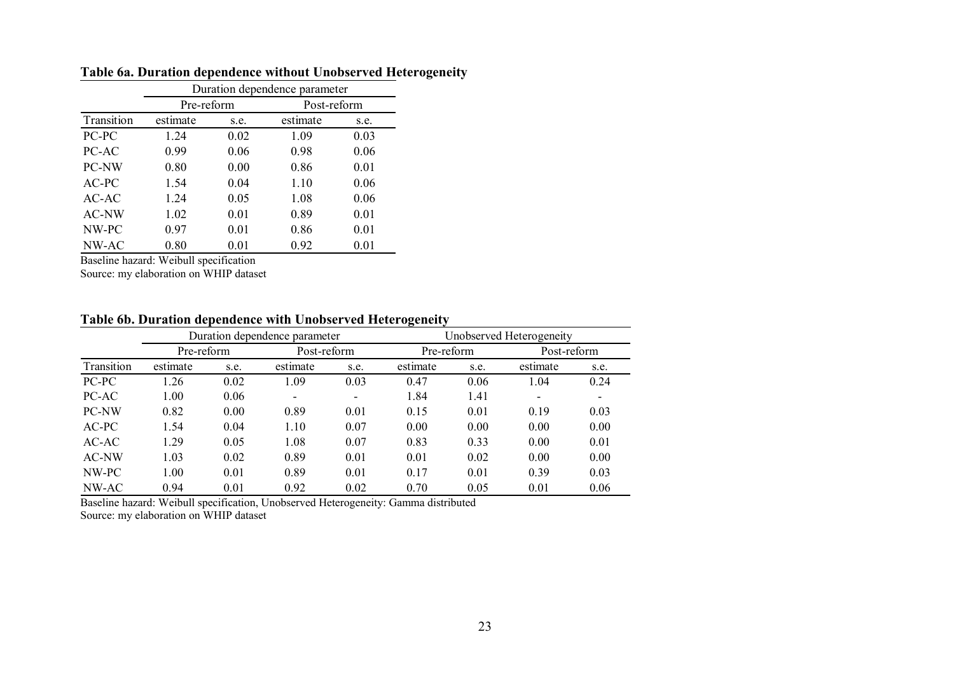|              |            |      | Duration dependence parameter |      |
|--------------|------------|------|-------------------------------|------|
|              | Pre-reform |      | Post-reform                   |      |
| Transition   | estimate   | s.e. | estimate                      | s.e. |
| PC-PC        | 1.24       | 0.02 | 1.09                          | 0.03 |
| PC-AC        | 0.99       | 0.06 | 0.98                          | 0.06 |
| PC-NW        | 0.80       | 0.00 | 0.86                          | 0.01 |
| AC-PC        | 1.54       | 0.04 | 1.10                          | 0.06 |
| $AC-AC$      | 1.24       | 0.05 | 1.08                          | 0.06 |
| <b>AC-NW</b> | 1.02       | 0.01 | 0.89                          | 0.01 |
| NW-PC        | 0.97       | 0.01 | 0.86                          | 0.01 |
| NW-AC        | 0.80       | 0.01 | 0.92                          | 0.01 |

## **Table 6a. Duration dependence without Unobserved Heterogeneity**

Baseline hazard: Weibull specification

Source: my elaboration on WHIP dataset

## **Table 6b. Duration dependence with Unobserved Heterogeneity**

|            |            |      | Duration dependence parameter |                          | Unobserved Heterogeneity |      |             |      |  |  |
|------------|------------|------|-------------------------------|--------------------------|--------------------------|------|-------------|------|--|--|
|            | Pre-reform |      | Post-reform                   |                          | Pre-reform               |      | Post-reform |      |  |  |
| Transition | estimate   | s.e. | estimate                      | s.e.                     | estimate                 | s.e. | estimate    | s.e. |  |  |
| PC-PC      | 1.26       | 0.02 | 1.09                          | 0.03                     | 0.47                     | 0.06 | 1.04        | 0.24 |  |  |
| PC-AC      | 1.00       | 0.06 | ۰                             | $\overline{\phantom{0}}$ | 1.84                     | 1.41 | -           | -    |  |  |
| PC-NW      | 0.82       | 0.00 | 0.89                          | 0.01                     | 0.15                     | 0.01 | 0.19        | 0.03 |  |  |
| $AC-PC$    | 1.54       | 0.04 | 1.10                          | 0.07                     | 0.00                     | 0.00 | 0.00        | 0.00 |  |  |
| $AC-AC$    | 1.29       | 0.05 | 1.08                          | 0.07                     | 0.83                     | 0.33 | 0.00        | 0.01 |  |  |
| AC-NW      | 1.03       | 0.02 | 0.89                          | 0.01                     | 0.01                     | 0.02 | 0.00        | 0.00 |  |  |
| NW-PC      | 1.00       | 0.01 | 0.89                          | 0.01                     | 0.17                     | 0.01 | 0.39        | 0.03 |  |  |
| NW-AC      | 0.94       | 0.01 | 0.92                          | 0.02                     | 0.70                     | 0.05 | 0.01        | 0.06 |  |  |

Baseline hazard: Weibull specification, Unobserved Heterogeneity: Gamma distributed Source: my elaboration on WHIP dataset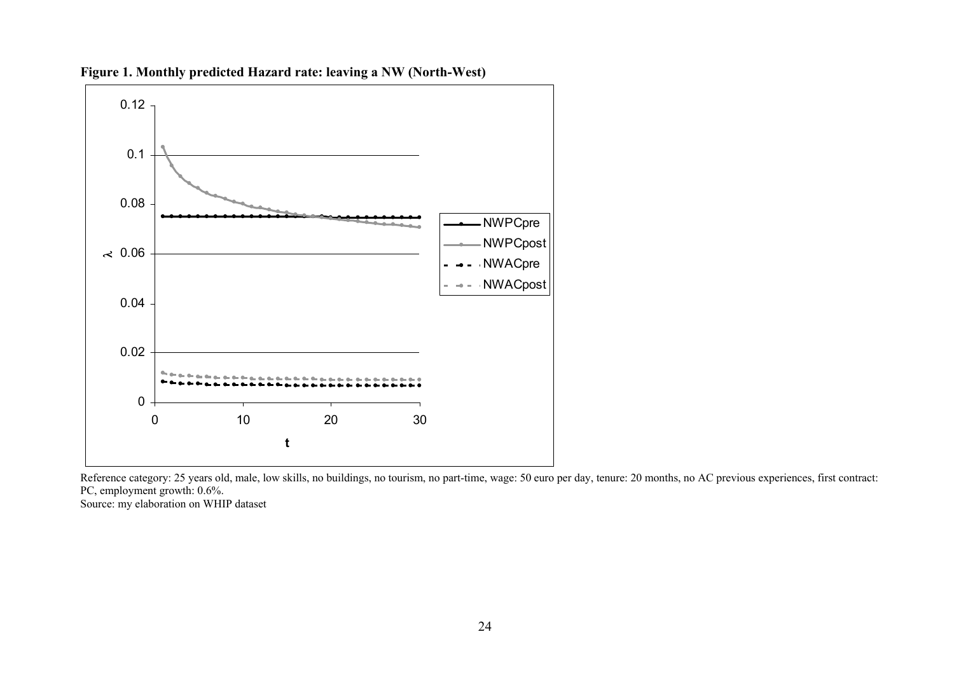

**Figure 1. Monthly predicted Hazard rate: leaving a NW (North-West)** 

Reference category: 25 years old, male, low skills, no buildings, no tourism, no part-time, wage: 50 euro per day, tenure: 20 months, no AC previous experiences, first contract: PC, employment growth: 0.6%.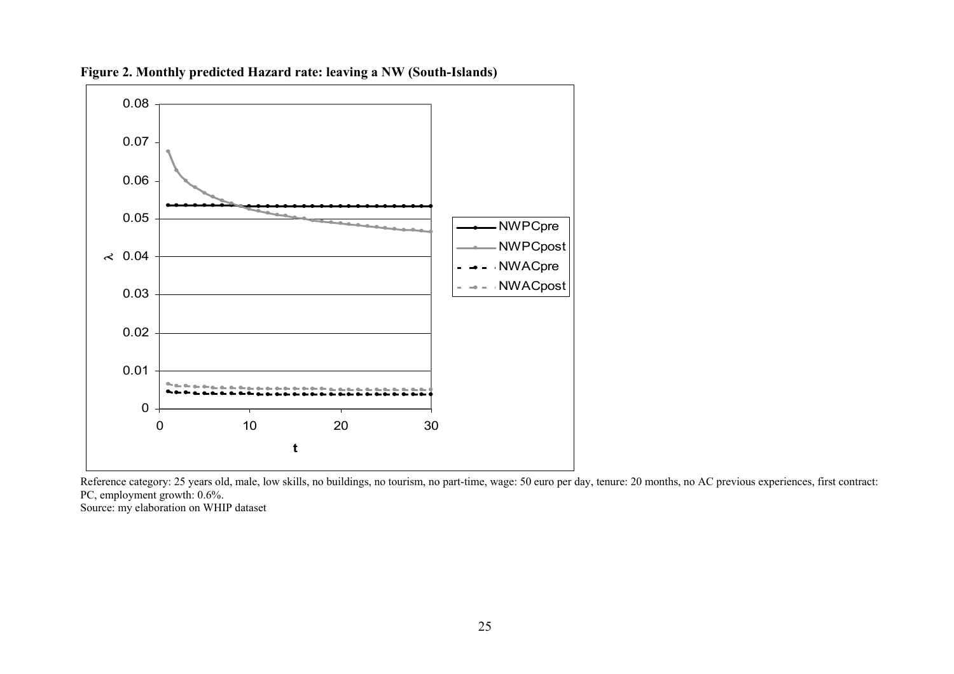

**Figure 2. Monthly predicted Hazard rate: leaving a NW (South-Islands)** 

Reference category: 25 years old, male, low skills, no buildings, no tourism, no part-time, wage: 50 euro per day, tenure: 20 months, no AC previous experiences, first contract: PC, employment growth: 0.6%.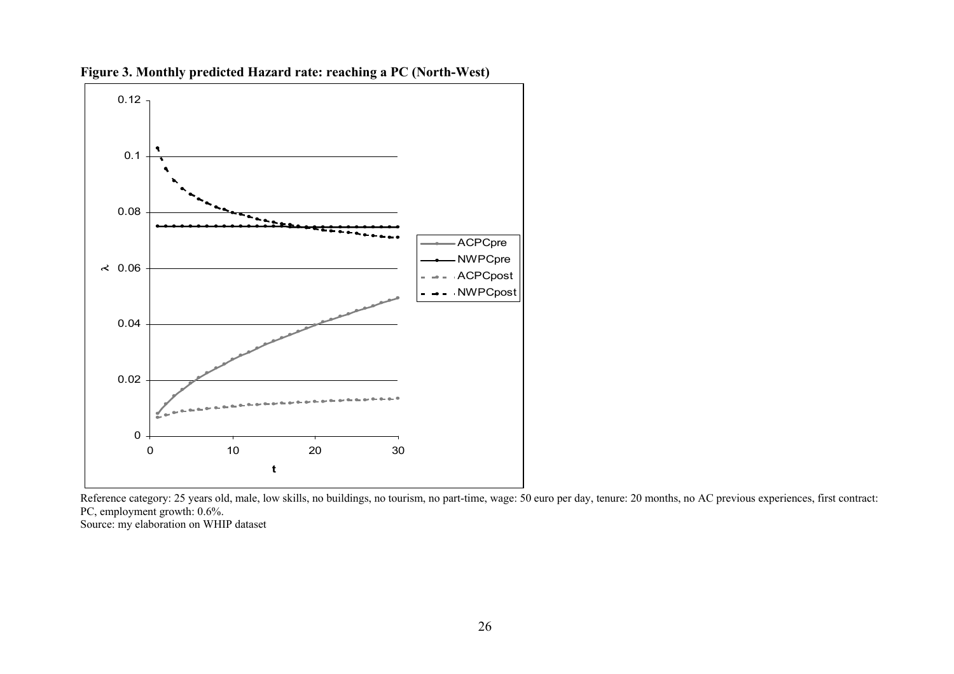

**Figure 3. Monthly predicted Hazard rate: reaching a PC (North-West)** 

Reference category: 25 years old, male, low skills, no buildings, no tourism, no part-time, wage: 50 euro per day, tenure: 20 months, no AC previous experiences, first contract: PC, employment growth: 0.6%.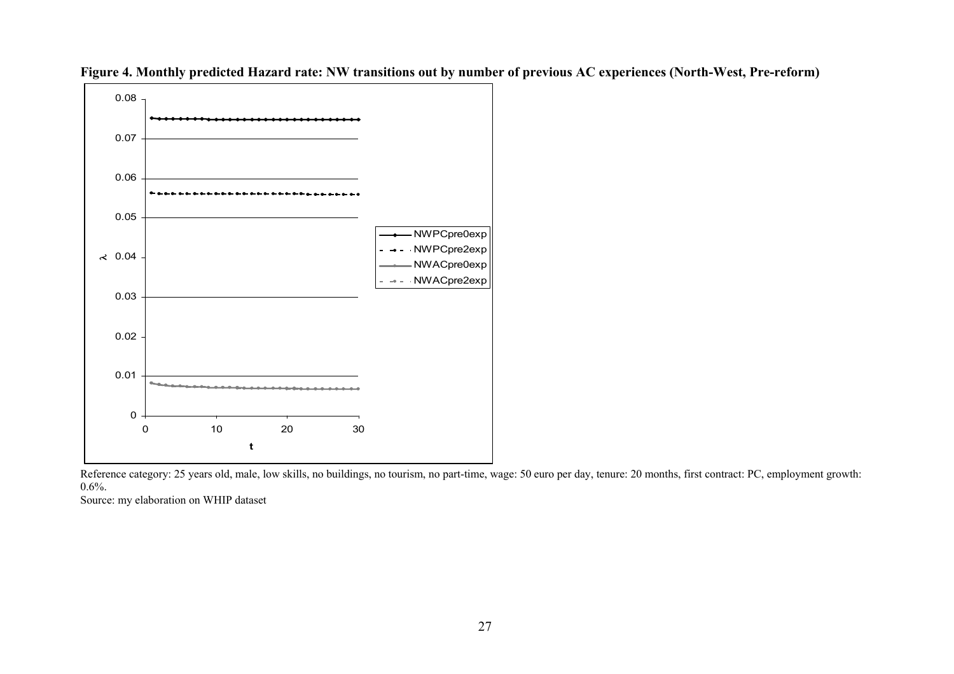



Reference category: 25 years old, male, low skills, no buildings, no tourism, no part-time, wage: 50 euro per day, tenure: 20 months, first contract: PC, employment growth: 0.6%.